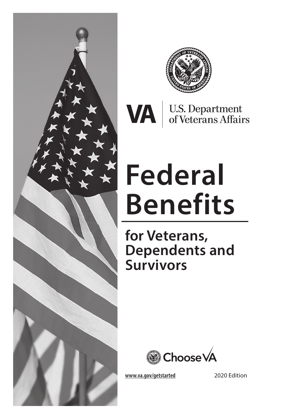



**VA** U.S. Department

# **Federal Benefits**

**for Veterans, Dependents and Survivors** 



**<www.va.gov/getstarted>**2020 Edition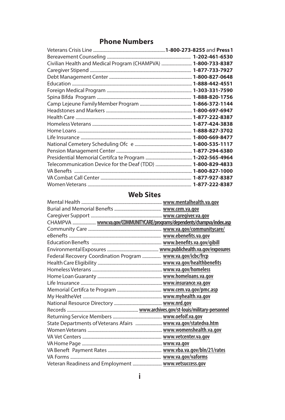## **Phone Numbers**

<span id="page-1-0"></span>

| Civilian Health and Medical Program (CHAMPVA)  1-800-733-8387 |  |
|---------------------------------------------------------------|--|
|                                                               |  |
|                                                               |  |
|                                                               |  |
|                                                               |  |
|                                                               |  |
|                                                               |  |
|                                                               |  |
|                                                               |  |
|                                                               |  |
|                                                               |  |
|                                                               |  |
|                                                               |  |
|                                                               |  |
|                                                               |  |
| Telecommunication Device for the Deaf (TDD)  1-800-829-4833   |  |
|                                                               |  |
|                                                               |  |
|                                                               |  |

## **Web Sites**

| CHAMPVA  www.va.gov/COMMUNITYCARE/programs/dependents/champva/index.asp |  |
|-------------------------------------------------------------------------|--|
|                                                                         |  |
|                                                                         |  |
|                                                                         |  |
|                                                                         |  |
| Federal Recovery Coordination Program  www.va.gov/icbc/frcp             |  |
|                                                                         |  |
|                                                                         |  |
|                                                                         |  |
|                                                                         |  |
|                                                                         |  |
|                                                                         |  |
|                                                                         |  |
|                                                                         |  |
|                                                                         |  |
| State Departments of Veterans Afairs  www.va.gov/statedva.htm           |  |
|                                                                         |  |
|                                                                         |  |
|                                                                         |  |
|                                                                         |  |
|                                                                         |  |
| Veteran Readiness and Employment  www.vetsuccess.gov                    |  |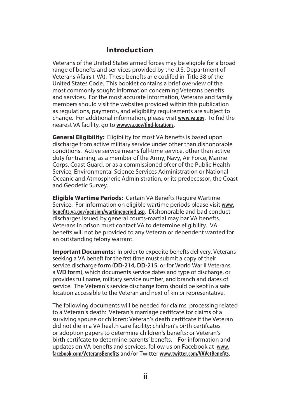#### **Introduction**

<span id="page-2-0"></span>Veterans of the United States armed forces may be eligible for a broad range of benefts and ser vices provided by the U.S. Department of Veterans Afairs ( VA). These benefts ar e codifed in Title 38 of the United States Code. This booklet contains a brief overview of the most commonly sought information concerning Veterans benefts and services. For the most accurate information, Veterans and family members should visit the websites provided within this publication as regulations, payments, and eligibility requirements are subject to change. For additional information, please visit **<www.va.gov>**. To fnd the nearest VA facility, go to **[www.va.gov/fnd-locations](www.va.gov/find-locations)**.

**General Eligibility:** Eligibility for most VA benefts is based upon discharge from active military service under other than dishonorable conditions. Active service means full-time service, other than active duty for training, as a member of the Army, Navy, Air Force, Marine Corps, Coast Guard, or as a commissioned ofcer of the Public Health Service, Environmental Science Services Administration or National Oceanic and Atmospheric Administration, or its predecessor, the Coast and Geodetic Survey.

**Eligible Wartime Periods:** Certain VA Benefts Require Wartime Service. For information on eligible wartime periods please visit **www. [benefts.va.gov/pension/wartimeperiod.asp](https://benefits.va.gov/pension/wartimeperiod.asp)**. Dishonorable and bad conduct discharges issued by general courts-martial may bar VA benefts. Veterans in prison must contact VA to determine eligibility. VA benefts will not be provided to any Veteran or dependent wanted for an outstanding felony warrant.

**Important Documents:** In order to expedite benefts delivery, Veterans seeking a VA beneft for the frst time must submit a copy of their service discharge **form** (**DD-214, DD-215**, or for World War II Veterans, a **WD form**), which documents service dates and type of discharge, or provides full name, military service number, and branch and dates of service. The Veteran's service discharge form should be kept in a safe location accessible to the Veteran and next of kin or representative.

The following documents will be needed for claims processing related to a Veteran's death: Veteran's marriage certifcate for claims of a surviving spouse or children; Veteran's death certifcate if the Veteran did not die in a VA health care facility; children's birth certifcates or adoption papers to determine children's benefts; or Veteran's birth certifcate to determine parents' benefts. For information and updates on VA benefts and services, follow us on Facebook at **www. [facebook.com/VeteransBenefts](https://facebook.com/VeteransBenefits)** and/or Twitter **[www.twitter.com/VAVetBenefts](www.twitter.com/VAVetBenefits)**.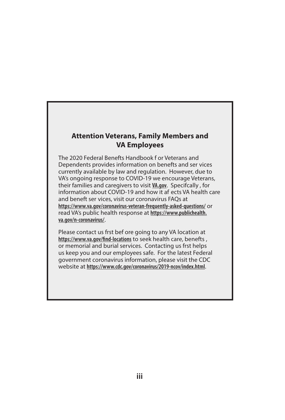#### <span id="page-3-0"></span>**Attention Veterans, Family Members and VA Employees**

The 2020 Federal Benefts Handbook f or Veterans and Dependents provides information on benefts and ser vices currently available by law and regulation. However, due to VA's ongoing response to COVID-19 we encourage Veterans, their families and caregivers to visit **VA.gov**. Specifcally , for information about COVID-19 and how it af ects VA health care and beneft ser vices, visit our coronavirus FAQs at **<https://www.va.gov/coronavirus-veteran-frequently-asked-questions>/** or read VA's public health response at **[https://www.publichealth.](https://www.publichealth.va.gov/n-coronavirus/) [va.gov/n-coronavirus](https://www.publichealth.va.gov/n-coronavirus/)/**.

Please contact us frst bef ore going to any VA location at **[https://www.va.gov/fnd-locations](https://www.va.gov/find-locations)** to seek health care, benefts , or memorial and burial services. Contacting us frst helps us keep you and our employees safe. For the latest Federal government coronavirus information, please visit the CDC website at **<https://www.cdc.gov/coronavirus/2019-ncov/index.html>**.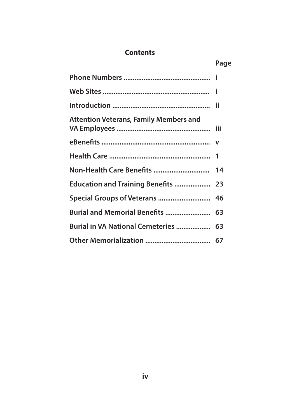#### **Contents**

#### **Page**

| <b>Attention Veterans, Family Members and</b> |    |
|-----------------------------------------------|----|
|                                               |    |
|                                               |    |
|                                               | 14 |
| <b>Education and Training Benefits </b>       | 23 |
| Special Groups of Veterans  46                |    |
| <b>Burial and Memorial Benefits </b>          | 63 |
| <b>Burial in VA National Cemeteries </b>      | 63 |
|                                               |    |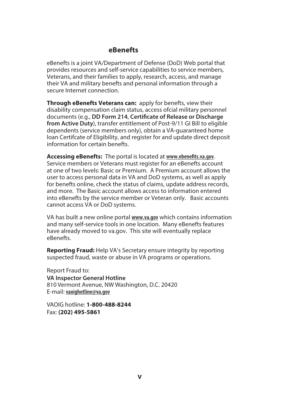#### **eBenefts**

<span id="page-5-0"></span>eBenefts is a joint VA/Department of Defense (DoD) Web portal that provides resources and self-service capabilities to service members, Veterans, and their families to apply, research, access, and manage their VA and military benefts and personal information through a secure Internet connection.

**Through eBenefts Veterans can:** apply for benefts, view their disability compensation claim status, access ofcial military personnel documents (e.g., **DD Form 214**, **Certifcate of Release or Discharge from Active Duty**), transfer entitlement of Post-9/11 GI Bill to eligible dependents (service members only), obtain a VA-guaranteed home loan Certifcate of Eligibility, and register for and update direct deposit information for certain benefts.

**Accessing eBenefts:** The portal is located at **[www.ebenefts.va.gov](www.ebenefits.va.gov)**. Service members or Veterans must register for an eBenefts account at one of two levels: Basic or Premium. A Premium account allows the user to access personal data in VA and DoD systems, as well as apply for benefts online, check the status of claims, update address records, and more. The Basic account allows access to information entered into eBenefts by the service member or Veteran only. Basic accounts cannot access VA or DoD systems.

VA has built a new online portal **<www.va.gov>** which contains information and many self-service tools in one location. Many eBenefts features have already moved to va.gov. This site will eventually replace eBenefts.

**Reporting Fraud:** Help VA's Secretary ensure integrity by reporting suspected fraud, waste or abuse in VA programs or operations.

Report Fraud to: **VA Inspector General Hotline**  810 Vermont Avenue, NW Washington, D.C. 20420 E-mail: **[vaoighotline@va.gov](mailto:vaoighotline@va.gov)** 

VAOIG hotline: **1-800-488-8244**  Fax: **(202) 495-5861**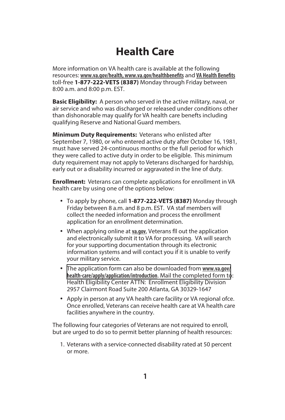# **Health Care**

<span id="page-6-0"></span>More information on VA health care is available at the following resources: **[www.va.gov/health,](www.va.gov/health) [www.va.gov/healthbenefts](www.va.gov/healthbenefits)** and **VA Health Benefts**  toll-free **1-877-222-VETS (8387)** Monday through Friday between 8:00 a.m. and 8:00 p.m. EST.

**Basic Eligibility:** A person who served in the active military, naval, or air service and who was discharged or released under conditions other than dishonorable may qualify for VA health care benefts including qualifying Reserve and National Guard members.

**Minimum Duty Requirements:** Veterans who enlisted after September 7, 1980, or who entered active duty after October 16, 1981, must have served 24-continuous months or the full period for which they were called to active duty in order to be eligible. This minimum duty requirement may not apply to Veterans discharged for hardship, early out or a disability incurred or aggravated in the line of duty.

**Enrollment:** Veterans can complete applications for enrollment in VA health care by using one of the options below:

- y To apply by phone, call **1-877-222-VETS (8387)** Monday through Friday between 8 a.m. and 8 p.m. EST. VA staf members will collect the needed information and process the enrollment application for an enrollment determination.
- When applying online at **va.gov**, Veterans fll out the application and electronically submit it to VA for processing. VA will search for your supporting documentation through its electronic information systems and will contact you if it is unable to verify your military service.
- **health-care/apply/application/introduction**. Mail the completed form to: • [The application form can also be downloaded from](www.va.gov/health-care/apply/application/introduction.) www.va.gov/ Health Eligibility Center ATTN: Enrollment Eligibility Division 2957 Clairmont Road Suite 200 Atlanta, GA 30329-1647
- Apply in person at any VA health care facility or VA regional ofce. Once enrolled, Veterans can receive health care at VA health care facilities anywhere in the country.

The following four categories of Veterans are not required to enroll, but are urged to do so to permit better planning of health resources:

1. Veterans with a service-connected disability rated at 50 percent or more.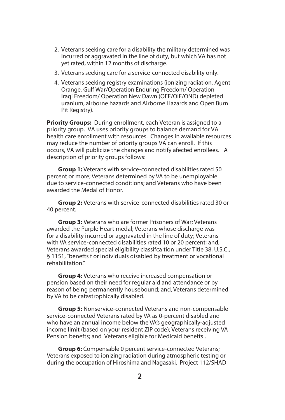- 2. Veterans seeking care for a disability the military determined was incurred or aggravated in the line of duty, but which VA has not yet rated, within 12 months of discharge.
- 3. Veterans seeking care for a service-connected disability only.
- 4. Veterans seeking registry examinations (ionizing radiation, Agent Orange, Gulf War/Operation Enduring Freedom/ Operation Iraqi Freedom/ Operation New Dawn (OEF/OIF/OND) depleted uranium, airborne hazards and Airborne Hazards and Open Burn Pit Registry).

**Priority Groups:** During enrollment, each Veteran is assigned to a priority group. VA uses priority groups to balance demand for VA health care enrollment with resources. Changes in available resources may reduce the number of priority groups VA can enroll. If this occurs, VA will publicize the changes and notify afected enrollees. A description of priority groups follows:

**Group 1:** Veterans with service-connected disabilities rated 50 percent or more; Veterans determined by VA to be unemployable due to service-connected conditions; and Veterans who have been awarded the Medal of Honor.

**Group 2:** Veterans with service-connected disabilities rated 30 or 40 percent.

**Group 3:** Veterans who are former Prisoners of War; Veterans awarded the Purple Heart medal; Veterans whose discharge was for a disability incurred or aggravated in the line of duty; Veterans with VA service-connected disabilities rated 10 or 20 percent; and, Veterans awarded special eligibility classifca tion under Title 38, U.S.C., § 1151, "benefts f or individuals disabled by treatment or vocational rehabilitation."

**Group 4:** Veterans who receive increased compensation or pension based on their need for regular aid and attendance or by reason of being permanently housebound; and, Veterans determined by VA to be catastrophically disabled.

**Group 5:** Nonservice-connected Veterans and non-compensable service-connected Veterans rated by VA as 0-percent disabled and who have an annual income below the VA's geographically-adjusted income limit (based on your resident ZIP code); Veterans receiving VA Pension benefts; and Veterans eligible for Medicaid benefts .

**Group 6:** Compensable 0 percent service-connected Veterans; Veterans exposed to ionizing radiation during atmospheric testing or during the occupation of Hiroshima and Nagasaki. Project 112/SHAD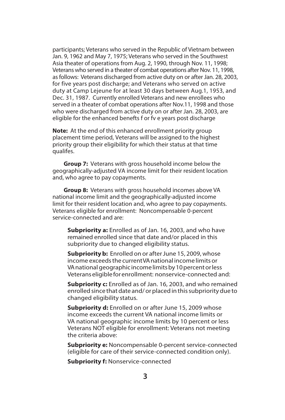Dec. 31, 1987. Currently enrolled Veterans and new enrollees who served in a theater of combat operations after Nov.11, 1998 and those participants; Veterans who served in the Republic of Vietnam between Jan. 9, 1962 and May 7, 1975; Veterans who served in the Southwest Asia theater of operations from Aug. 2, 1990, through Nov. 11, 1998; Veterans who served in a theater of combat operations after Nov. 11, 1998, as follows: Veterans discharged from active duty on or after Jan. 28, 2003, for five years post discharge; and Veterans who served on active duty at Camp Lejeune for at least 30 days between Aug.1, 1953, and who were discharged from active duty on or after Jan. 28, 2003, are eligible for the enhanced benefts f or fv e years post discharge

**Note:** At the end of this enhanced enrollment priority group placement time period, Veterans will be assigned to the highest priority group their eligibility for which their status at that time qualifes.

**Group 7:** Veterans with gross household income below the geographically-adjusted VA income limit for their resident location and, who agree to pay copayments.

limit for their resident location and, who agree to pay copayments.<br>Veterans eligible for enrollment: Noncompensable 0-percent **Group 8:** Veterans with gross household incomes above VA national income limit and the geographically-adjusted income service-connected and are:

**Subpriority a:** Enrolled as of Jan. 16, 2003, and who have remained enrolled since that date and/or placed in this subpriority due to changed eligibility status.

**Subpriority b:** Enrolled on or after June 15, 2009, whose income exceeds the current VA national income limits or VA national geographic income limits by 10 percent or less Veterans eligible for enrollment: nonservice-connected and:

**Subpriority c:** Enrolled as of Jan. 16, 2003, and who remained enrolled since that date and/ or placed in this subpriority due to changed eligibility status.

**Subpriority d:** Enrolled on or after June 15, 2009 whose income exceeds the current VA national income limits or VA national geographic income limits by 10 percent or less Veterans NOT eligible for enrollment: Veterans not meeting the criteria above:

**Subpriority e:** Noncompensable 0-percent service-connected (eligible for care of their service-connected condition only).

**Subpriority f:** Nonservice-connected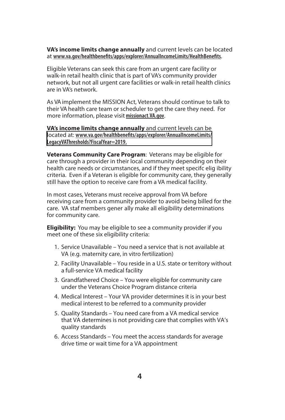**VA's income limits change annually** and current levels can be located at **[www.va.gov/healthbenefts/apps/explorer/AnnualIncomeLimits/HealthBenefts](www.va.gov/healthbenefits/apps/explorer/AnnualIncomeLimits/HealthBenefits)**.

Eligible Veterans can seek this care from an urgent care facility or walk-in retail health clinic that is part of VA's community provider network, but not all urgent care facilities or walk-in retail health clinics are in VA's network.

As VA implement the MISSION Act, Veterans should continue to talk to their VA health care team or scheduler to get the care they need. For more information, please visit **[missionact.VA.gov](https://missionact.VA.gov)**.

**VA's income limits change annually** and current levels can be located at: **[www.va.gov/healthbenefts/apps/explorer/AnnualIncomeLimits/](https://www.va.gov/healthbenefits/apps/explorer/AnnualIncomeLimits/HealthBenefits) LegacyVAThresholds?FiscalYear=2019.** 

**Veterans Community Care Program**: Veterans may be eligible for care through a provider in their local community depending on their health care needs or circumstances, and if they meet specifc elig ibility criteria. Even if a Veteran is eligible for community care, they generally still have the option to receive care from a VA medical facility.

In most cases, Veterans must receive approval from VA before receiving care from a community provider to avoid being billed for the care. VA staf members gener ally make all eligibility determinations for community care.

**Eligibility:** You may be eligible to see a community provider if you meet one of these six eligibility criteria:

- 1. Service Unavailable You need a service that is not available at VA (e.g. maternity care, in vitro fertilization)
- 2. Facility Unavailable You reside in a U.S. state or territory without a full-service VA medical facility
- 3. Grandfathered Choice You were eligible for community care under the Veterans Choice Program distance criteria
- 4. Medical Interest Your VA provider determines it is in your best medical interest to be referred to a community provider
- 5. Quality Standards You need care from a VA medical service that VA determines is not providing care that complies with VA's quality standards
- 6. Access Standards You meet the access standards for average drive time or wait time for a VA appointment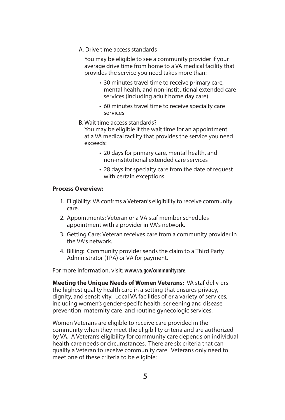A. Drive time access standards

You may be eligible to see a community provider if your average drive time from home to a VA medical facility that provides the service you need takes more than:

- 30 minutes travel time to receive primary care, mental health, and non-institutional extended care services (including adult home day care)
- 60 minutes travel time to receive specialty care services
- B. Wait time access standards?

You may be eligible if the wait time for an appointment at a VA medical facility that provides the service you need exceeds:

- 20 days for primary care, mental health, and non-institutional extended care services
- 28 days for specialty care from the date of request with certain exceptions

#### **Process Overview:**

- 1. Eligibility: VA confrms a Veteran's eligibility to receive community care.
- 2. Appointments: Veteran or a VA staf member schedules appointment with a provider in VA's network.
- 3. Getting Care: Veteran receives care from a community provider in the VA's network.
- 4. Billing: Community provider sends the claim to a Third Party Administrator (TPA) or VA for payment.

For more information, visit: **<www.va.gov/communitycare>**.

**Meeting the Unique Needs of Women Veterans:** VA staf deliv ers the highest quality health care in a setting that ensures privacy, dignity, and sensitivity. Local VA facilities of er a variety of services, including women's gender-specifc health, scr eening and disease prevention, maternity care and routine gynecologic services.

Women Veterans are eligible to receive care provided in the community when they meet the eligibility criteria and are authorized by VA. A Veteran's eligibility for community care depends on individual health care needs or circumstances. There are six criteria that can qualify a Veteran to receive community care. Veterans only need to meet one of these criteria to be eligible: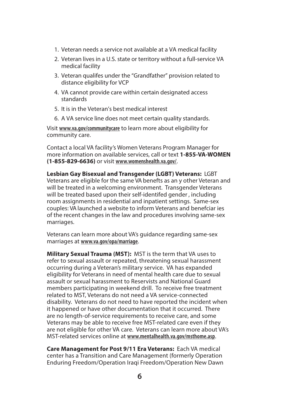- 1. Veteran needs a service not available at a VA medical facility
- 2. Veteran lives in a U.S. state or territory without a full-service VA medical facility
- 3. Veteran qualifes under the "Grandfather" provision related to distance eligibility for VCP
- 4. VA cannot provide care within certain designated access standards
- 5. It is in the Veteran's best medical interest
- 6. A VA service line does not meet certain quality standards.

Visit **<www.va.gov/communitycare>** to learn more about eligibility for community care.

Contact a local VA facility's Women Veterans Program Manager for more information on available services, call or text **1-855-VA-WOMEN (1-855-829-6636)** or visit **[www.womenshealth.va.gov/](www.womenshealth.va.gov)**.

**Lesbian Gay Bisexual and Transgender (LGBT) Veterans:** LGBT Veterans are eligible for the same VA benefts as an y other Veteran and will be treated in a welcoming environment. Transgender Veterans will be treated based upon their self-identifed gender , including room assignments in residential and inpatient settings. Same-sex couples: VA launched a website to inform Veterans and benefciar ies of the recent changes in the law and procedures involving same-sex marriages.

Veterans can learn more about VA's guidance regarding same-sex marriages at **<www.va.gov/opa/marriage>**.

**Military Sexual Trauma (MST):** MST is the term that VA uses to refer to sexual assault or repeated, threatening sexual harassment occurring during a Veteran's military service. VA has expanded eligibility for Veterans in need of mental health care due to sexual assault or sexual harassment to Reservists and National Guard members participating in weekend drill. To receive free treatment related to MST, Veterans do not need a VA service-connected disability. Veterans do not need to have reported the incident when it happened or have other documentation that it occurred. There are no length-of-service requirements to receive care, and some Veterans may be able to receive free MST-related care even if they are not eligible for other VA care. Veterans can learn more about VA's MST-related services online at **<www.mentalhealth.va.gov/msthome.asp>**.

**Care Management for Post 9/11 Era Veterans:** Each VA medical center has a Transition and Care Management (formerly Operation Enduring Freedom/Operation Iraqi Freedom/Operation New Dawn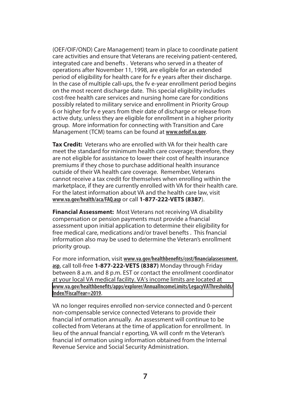period of eligibility for health care for fy e years after their discharge. (OEF/OIF/OND) Care Management) team in place to coordinate patient care activities and ensure that Veterans are receiving patient-centered, integrated care and benefts . Veterans who served in a theater of operations after November 11, 1998, are eligible for an extended In the case of multiple call-ups, the fy e-year enrollment period begins on the most recent discharge date. This special eligibility includes cost-free health care services and nursing home care for conditions possibly related to military service and enrollment in Priority Group 6 or higher for fv e years from their date of discharge or release from active duty, unless they are eligible for enrollment in a higher priority group. More information for connecting with Transition and Care Management (TCM) teams can be found at **<www.oefoif.va.gov>**.

premiums if they chose to purchase additional health insurance marketplace, if they are currently enrolled with VA for their health care. **Tax Credit:** Veterans who are enrolled with VA for their health care meet the standard for minimum health care coverage; therefore, they are not eligible for assistance to lower their cost of health insurance putside of their VA health care coverage. Remember, Veterans cannot receive a tax credit for themselves when enrolling within the For the latest information about VA and the health care law, visit **<www.va.gov/health/aca/FAQ.asp>** or call **1-877-222-VETS (8387**).

**Financial Assessment:** Most Veterans not receiving VA disability compensation or pension payments must provide a fnancial assessment upon initial application to determine their eligibility for free medical care, medications and/or travel benefts . This fnancial information also may be used to determine the Veteran's enrollment priority group.

For more information, visit **[www.va.gov/healthbenefts/cost/fnancialassessment.](https://www.va.gov/health-care/about-va-health-benefits/cost-of-care/) asp**, call toll-free **1-877-222-VETS (8387)** Monday through Friday between 8 a.m. and 8 p.m. EST or contact the enrollment coordinator at your local VA medical facility. VA's income limits are located at **[www.va.gov/healthbenefts/apps/explorer/AnnualIncomeLimits/LegacyVAThresholds/](https://www.va.gov/healthbenefits/apps/explorer/AnnualIncomeLimits/HealthBenefits) Index?FiscalYear=2019**.

VA no longer requires enrolled non-service connected and 0-percent non-compensable service connected Veterans to provide their fnancial inf ormation annually. An assessment will continue to be collected from Veterans at the time of application for enrollment. In lieu of the annual fnancial r eporting, VA will confr m the Veteran's fnancial inf ormation using information obtained from the Internal Revenue Service and Social Security Administration.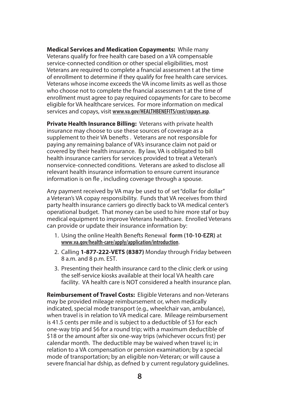**Medical Services and Medication Copayments:** While many Veterans qualify for free health care based on a VA compensable service-connected condition or other special eligibilities, most Veterans are required to complete a fnancial assessmen t at the time of enrollment to determine if they qualify for free health care services. Veterans whose income exceeds the VA income limits as well as those who choose not to complete the fnancial assessmen t at the time of enrollment must agree to pay required copayments for care to become eligible for VA healthcare services. For more information on medical services and copays, visit **<www.va.gov/HEALTHBENEFITS/cost/copays.asp>**.

**Private Health Insurance Billing:** Veterans with private health insurance may choose to use these sources of coverage as a supplement to their VA benefts . Veterans are not responsible for paying any remaining balance of VA's insurance claim not paid or covered by their health insurance. By law, VA is obligated to bill health insurance carriers for services provided to treat a Veteran's nonservice-connected conditions. Veterans are asked to disclose all relevant health insurance information to ensure current insurance information is on fle , including coverage through a spouse.

Any payment received by VA may be used to of set "dollar for dollar" a Veteran's VA copay responsibility. Funds that VA receives from third party health insurance carriers go directly back to VA medical center's operational budget. That money can be used to hire more staf or buy medical equipment to improve Veterans healthcare. Enrolled Veterans can provide or update their insurance information by:

- 1. Using the online Health Benefts Renewal **form (10-10-EZR)** at **<www.va.gov/health-care/apply/application/introduction>**.
- 2. Calling **1-877-222-VETS (8387)** Monday through Friday between 8 a.m. and 8 p.m. EST.
- 3. Presenting their health insurance card to the clinic clerk or using the self-service kiosks available at their local VA health care facility. VA health care is NOT considered a health insurance plan.

**Reimbursement of Travel Costs:** Eligible Veterans and non-Veterans may be provided mileage reimbursement or, when medically indicated, special mode transport (e.g., wheelchair van, ambulance), when travel is in relation to VA medical care. Mileage reimbursement is 41.5 cents per mile and is subject to a deductible of \$3 for each one-way trip and \$6 for a round trip; with a maximum deductible of \$18 or the amount after six one-way trips (whichever occurs frst) per calendar month. The deductible may be waived when travel is; in relation to a VA compensation or pension examination; by a special mode of transportation; by an eligible non-Veteran; or will cause a severe fnancial har dship, as defned b y current regulatory guidelines.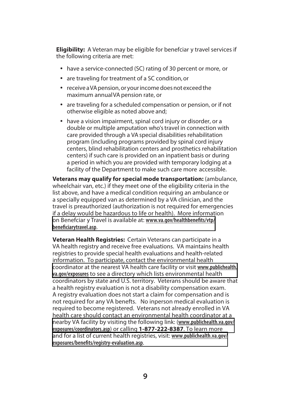**Eligibility:** A Veteran may be eligible for benefciar y travel services if the following criteria are met:

- have a service-connected (SC) rating of 30 percent or more, or
- are traveling for treatment of a SC condition, or
- receive a VA pension, or your income does not exceed the maximum annual VA pension rate, or
- are traveling for a scheduled compensation or pension, or if not otherwise eligible as noted above and;
- have a vision impairment, spinal cord injury or disorder, or a double or multiple amputation who's travel in connection with care provided through a VA special disabilities rehabilitation program (including programs provided by spinal cord injury centers, blind rehabilitation centers and prosthetics rehabilitation centers) if such care is provided on an inpatient basis or during a period in which you are provided with temporary lodging at a facility of the Department to make such care more accessible.

**Veterans may qualify for special mode transportation:** (ambulance, wheelchair van, etc.) if they meet one of the eligibility criteria in the list above, and have a medical condition requiring an ambulance or a specially equipped van as determined by a VA clinician, and the travel is preauthorized (authorization is not required for emergencies if a delay would be hazardous to life or health). More information [on Benefciar y Travel is available at:](https://www.va.gov/healthbenefits/vtp/) **www.va.gov/healthbenefts/vtp/ benefciarytravel.asp**.

 a health registry evaluation is not a disability compensation exam. **Veteran Health Registries:** Certain Veterans can participate in a VA health registry and receive free evaluations. VA maintains health registries to provide special health evaluations and health-related information. To participate, contact the environmental health [coordinator at the nearest VA health care facility or visit](www.publichealth.va.gov/exposures) **www.publichealth. va.gov/exposures** to see a directory which lists environmental health coordinators by state and U.S. territory. Veterans should be aware that A registry evaluation does not start a claim for compensation and is not required for any VA benefts. No inperson medical evaluation is required to become registered. Veterans not already enrolled in VA health care should contact an environmental health coordinator at a [nearby VA facility by visiting the following link: \(](www.publichealth.va.gov/exposures/coordinators.asp)**www.publichealth.va.gov/ exposures/coordinators.asp**) or calling **1-877-222-8387**. To learn more [and for a list of current health registries, visit:](https://www.publichealth.va.gov/exposures/benefits/registry-evaluation.asp) **www.publichealth.va.gov/ exposures/benefts/registry-evaluation.asp**.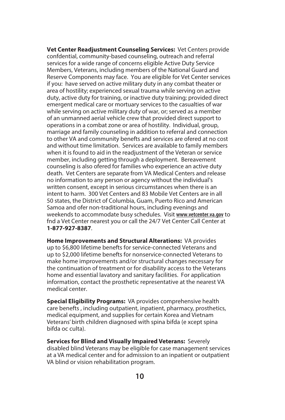**Vet Center Readjustment Counseling Services:** Vet Centers provide confdential, community-based counseling, outreach and referral services for a wide range of concerns eligible Active Duty Service Members, Veterans, including members of the National Guard and Reserve Components may face. You are eligible for Vet Center services if you: have served on active military duty in any combat theater or area of hostility; experienced sexual trauma while serving on active duty, active duty for training, or inactive duty training; provided direct emergent medical care or mortuary services to the casualties of war while serving on active military duty of war, or; served as a member of an unmanned aerial vehicle crew that provided direct support to operations in a combat zone or area of hostility. Individual, group, marriage and family counseling in addition to referral and connection to other VA and community benefts and services are ofered at no cost and without time limitation. Services are available to family members when it is found to aid in the readjustment of the Veteran or service member, including getting through a deployment. Bereavement counseling is also ofered for families who experience an active duty death. Vet Centers are separate from VA Medical Centers and release no information to any person or agency without the individual's written consent, except in serious circumstances when there is an intent to harm. 300 Vet Centers and 83 Mobile Vet Centers are in all 50 states, the District of Columbia, Guam, Puerto Rico and American Samoa and ofer non-traditional hours, including evenings and weekends to accommodate busy schedules. Visit **<www.vetcenter.va.gov>** to fnd a Vet Center nearest you or call the 24/7 Vet Center Call Center at **1-877-927-8387**.

**Home Improvements and Structural Alterations:** VA provides up to \$6,800 lifetime benefts for service-connected Veterans and up to \$2,000 lifetime benefts for nonservice-connected Veterans to make home improvements and/or structural changes necessary for the continuation of treatment or for disability access to the Veterans home and essential lavatory and sanitary facilities. For application information, contact the prosthetic representative at the nearest VA medical center.

**Special Eligibility Programs:** VA provides comprehensive health care benefts , including outpatient, inpatient, pharmacy, prosthetics, medical equipment, and supplies for certain Korea and Vietnam Veterans' birth children diagnosed with spina bifda (e xcept spina bifda oc culta).

**Services for Blind and Visually Impaired Veterans:** Severely disabled blind Veterans may be eligible for case management services at a VA medical center and for admission to an inpatient or outpatient VA blind or vision rehabilitation program.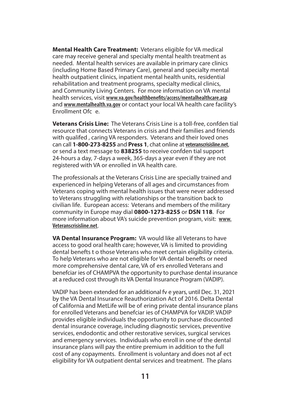**Mental Health Care Treatment:** Veterans eligible for VA medical care may receive general and specialty mental health treatment as needed. Mental health services are available in primary care clinics (including Home Based Primary Care), general and specialty mental health outpatient clinics, inpatient mental health units, residential rehabilitation and treatment programs, specialty medical clinics, and Community Living Centers. For more information on VA mental health services, visit **[www.va.gov/healthbenefts/access/mentalhealthcare.asp](https://www.va.gov/health-care/health-needs-conditions/mental-health/)**  and **<www.mentalhealth.va.gov>** or contact your local VA health care facility's Enrollment Ofc e.

**Veterans Crisis Line:** The Veterans Crisis Line is a toll-free, confden tial resource that connects Veterans in crisis and their families and friends with qualifed , caring VA responders. Veterans and their loved ones can call **1-800-273-8255** and **Press 1**, chat online at **[veteranscrisisline.net](https://veteranscrisisline.net)**, or send a text message to **838255** to receive confden tial support 24-hours a day, 7-days a week, 365-days a year even if they are not registered with VA or enrolled in VA health care.

The professionals at the Veterans Crisis Line are specially trained and experienced in helping Veterans of all ages and circumstances from Veterans coping with mental health issues that were never addressed to Veterans struggling with relationships or the transition back to civilian life. European access: Veterans and members of the military community in Europe may dial **0800-1273-8255** or **DSN 118**. For more information about VA's suicide prevention program, visit: **www. [Veteranscrisisline.net](https://Veteranscrisisline.net)**.

 dental benefts t o those Veterans who meet certain eligibility criteria. **VA Dental Insurance Program:** VA would like all Veterans to have access to good oral health care; however, VA is limited to providing To help Veterans who are not eligible for VA dental benefts or need more comprehensive dental care, VA of ers enrolled Veterans and benefciar ies of CHAMPVA the opportunity to purchase dental insurance at a reduced cost through its VA Dental Insurance Program (VADIP).

VADIP has been extended for an additional fv e years, until Dec. 31, 2021 by the VA Dental Insurance Reauthorization Act of 2016. Delta Dental of California and MetLife will be of ering private dental insurance plans for enrolled Veterans and benefciar ies of CHAMPVA for VADIP. VADIP provides eligible individuals the opportunity to purchase discounted dental insurance coverage, including diagnostic services, preventive services, endodontic and other restorative services, surgical services and emergency services. Individuals who enroll in one of the dental insurance plans will pay the entire premium in addition to the full cost of any copayments. Enrollment is voluntary and does not af ect eligibility for VA outpatient dental services and treatment. The plans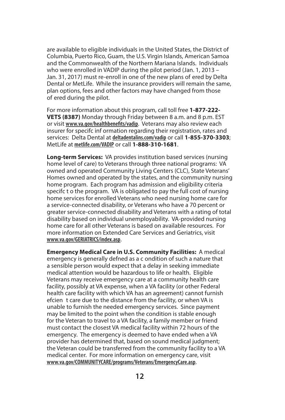are available to eligible individuals in the United States, the District of Columbia, Puerto Rico, Guam, the U.S. Virgin Islands, American Samoa and the Commonwealth of the Northern Mariana Islands. Individuals who were enrolled in VADIP during the pilot period (Jan. 1, 2013 – Jan. 31, 2017) must re-enroll in one of the new plans of ered by Delta Dental or MetLife. While the insurance providers will remain the same, plan options, fees and other factors may have changed from those of ered during the pilot.

For more information about this program, call toll free **1-877-222- VETS (8387)** Monday through Friday between 8 a.m. and 8 p.m. EST or visit **[www.va.gov/healthbenefts/vadip](www.va.gov/healthbenefits/vadip)**. Veterans may also review each insurer for specifc inf ormation regarding their registration, rates and services: Delta Dental at **[deltadentalins.com/vadip](https://deltadentalins.com/vadip)** or call **1-855-370-3303**; MetLife at **[metlife.com/VADIP](https://metlife.com/VADIP)** or call **1-888-310-1681**.

 more information on Extended Care Services and Geriatrics, visit **Long-term Services:** VA provides institution based services (nursing home level of care) to Veterans through three national programs: VA owned and operated Community Living Centers (CLC), State Veterans' Homes owned and operated by the states, and the community nursing home program. Each program has admission and eligibility criteria specifc t o the program. VA is obligated to pay the full cost of nursing home services for enrolled Veterans who need nursing home care for a service-connected disability, or Veterans who have a 70 percent or greater service-connected disability and Veterans with a rating of total disability based on individual unemployability. VA-provided nursing home care for all other Veterans is based on available resources. For **<www.va.gov/GERIATRICS/index.asp>**.

**Emergency Medical Care in U.S. Community Facilities:** A medical emergency is generally defned as a c ondition of such a nature that a sensible person would expect that a delay in seeking immediate medical attention would be hazardous to life or health. Eligible Veterans may receive emergency care at a community health care facility, possibly at VA expense, when a VA facility (or other Federal health care facility with which VA has an agreement) cannot furnish efcien t care due to the distance from the facility, or when VA is unable to furnish the needed emergency services. Since payment may be limited to the point when the condition is stable enough for the Veteran to travel to a VA facility, a family member or friend must contact the closest VA medical facility within 72 hours of the emergency. The emergency is deemed to have ended when a VA provider has determined that, based on sound medical judgment; the Veteran could be transferred from the community facility to a VA medical center. For more information on emergency care, visit **[www.va.gov/COMMUNITYCARE/programs/Veterans/EmergencyCare.asp](https://www.va.gov/communitycare/programs/veterans/emergency_care.asp)**.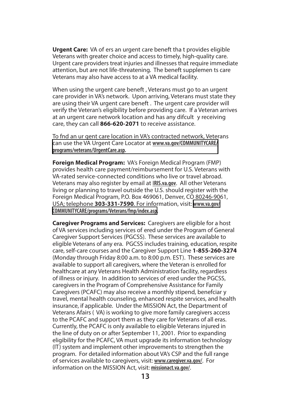**Urgent Care:** VA of ers an urgent care beneft tha t provides eligible Veterans with greater choice and access to timely, high-quality care. Urgent care providers treat injuries and illnesses that require immediate attention, but are not life-threatening. The beneft supplemen ts care Veterans may also have access to at a VA medical facility.

When using the urgent care beneft , Veterans must go to an urgent care provider in VA's network. Upon arriving, Veterans must state they are using their VA urgent care beneft . The urgent care provider will verify the Veteran's eligibility before providing care. If a Veteran arrives at an urgent care network location and has any difcult y receiving care, they can call **866-620-2071** to receive assistance.

To fnd an ur gent care location in VA's contracted network, Veterans [can use the VA Urgent Care Locator at](https://www.va.gov/COMMUNITYCARE/programs/veterans/Urgent_Care.asp) **www.va.gov/COMMUNITYCARE/ programs/veterans/UrgentCare.asp.** 

VA-rated service-connected conditions who live or travel abroad. **Foreign Medical Program:** VA's Foreign Medical Program (FMP) provides health care payment/reimbursement for U.S. Veterans with Veterans may also register by email at [I](https://iris.custhelp.va.gov/)RIS.va.gov. All other Veterans living or planning to travel outside the U.S. should register with the Foreign Medical Program, P.O. Box 469061, Denver, CO 80246-9061, USA; telephone **303-331-7590**. For information, visit: **[www.va.gov/](https://www.va.gov/COMMUNITYCARE/programs/veterans/fmp/index.asp) [COMMUNITYCARE/programs/Veterans/fmp/index.asp](https://www.va.gov/COMMUNITYCARE/programs/veterans/fmp/index.asp)**.

**Caregiver Programs and Services:** Caregivers are eligible for a host of VA services including services of ered under the Program of General Caregiver Support Services (PGCSS). These services are available to eligible Veterans of any era. PGCSS includes training, education, respite care, self-care courses and the Caregiver Support Line **1-855-260-3274**  (Monday through Friday 8:00 a.m. to 8:00 p.m. EST). These services are available to support all caregivers, where the Veteran is enrolled for healthcare at any Veterans Health Administration facility, regardless of illness or injury. In addition to services of ered under the PGCSS, caregivers in the Program of Comprehensive Assistance for Family Caregivers (PCAFC) may also receive a monthly stipend, benefciar y travel, mental health counseling, enhanced respite services, and health insurance, if applicable. Under the MISSION Act, the Department of Veterans Afairs ( VA) is working to give more family caregivers access to the PCAFC and support them as they care for Veterans of all eras. Currently, the PCAFC is only available to eligible Veterans injured in the line of duty on or after September 11, 2001. Prior to expanding eligibility for the PCAFC, VA must upgrade its information technology (IT) system and implement other improvements to strengthen the program. For detailed information about VA's CSP and the full range of services available to caregivers, visit: **[www.caregiver.va.gov/](www.caregiver.va.gov)**. For information on the MISSION Act, visit: **[missionact.va.gov](https://missionact.va.gov)/**.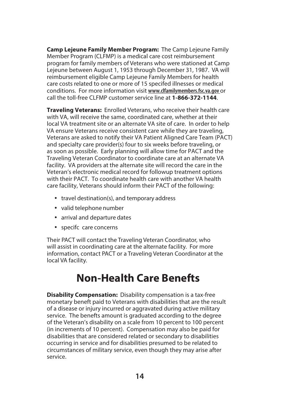<span id="page-19-0"></span>**Camp Lejeune Family Member Program:** The Camp Lejeune Family Member Program (CLFMP) is a medical care cost reimbursement program for family members of Veterans who were stationed at Camp Lejeune between August 1, 1953 through December 31, 1987. VA will reimbursement eligible Camp Lejeune Family Members for health care costs related to one or more of 15 specifed illnesses or medical conditions. For more information visit **[www.clfamilymembers.fsc.va.gov](https://www.clfamilymembers.fsc.va.gov/)** or call the toll-free CLFMP customer service line at **1-866-372-1144**.

**Traveling Veterans:** Enrolled Veterans, who receive their health care with VA, will receive the same, coordinated care, whether at their local VA treatment site or an alternate VA site of care. In order to help VA ensure Veterans receive consistent care while they are traveling, Veterans are asked to notify their VA Patient Aligned Care Team (PACT) and specialty care provider(s) four to six weeks before traveling, or as soon as possible. Early planning will allow time for PACT and the Traveling Veteran Coordinator to coordinate care at an alternate VA facility. VA providers at the alternate site will record the care in the Veteran's electronic medical record for followup treatment options with their PACT. To coordinate health care with another VA health care facility, Veterans should inform their PACT of the following:

- $\bullet$  travel destination(s), and temporary address
- valid telephone number
- arrival and departure dates
- specifc care concerns

Their PACT will contact the Traveling Veteran Coordinator, who will assist in coordinating care at the alternate facility. For more information, contact PACT or a Traveling Veteran Coordinator at the local VA facility.

# **Non-Health Care Benefts**

**Disability Compensation:** Disability compensation is a tax-free monetary beneft paid to Veterans with disabilities that are the result of a disease or injury incurred or aggravated during active military service. The benefts amount is graduated according to the degree of the Veteran's disability on a scale from 10 percent to 100 percent (in increments of 10 percent). Compensation may also be paid for disabilities that are considered related or secondary to disabilities occurring in service and for disabilities presumed to be related to circumstances of military service, even though they may arise after service.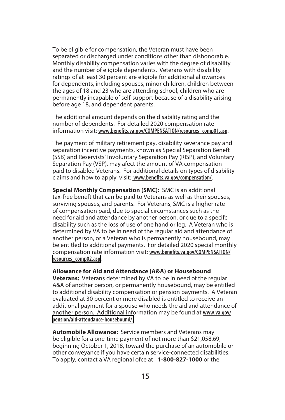separated or discharged under conditions other than dishonorable. To be eligible for compensation, the Veteran must have been Monthly disability compensation varies with the degree of disability and the number of eligible dependents. Veterans with disability ratings of at least 30 percent are eligible for additional allowances for dependents, including spouses, minor children, children between the ages of 18 and 23 who are attending school, children who are permanently incapable of self-support because of a disability arising before age 18, and dependent parents.

The additional amount depends on the disability rating and the number of dependents. For detailed 2020 compensation rate information visit: **[www.benefts.va.gov/COMPENSATION/resources\\_comp01.asp](www.benefits.va.gov/COMPENSATION/resources_comp01.asp)**.

The payment of military retirement pay, disability severance pay and separation incentive payments, known as Special Separation Beneft (SSB) and Reservists' Involuntary Separation Pay (RISP), and Voluntary Separation Pay (VSP), may afect the amount of VA compensation paid to disabled Veterans. For additional details on types of disability claims and how to apply, visit: **[www.benefts.va.gov/compensation/](www.benefits.va.gov/compensation)**.

**Special Monthly Compensation (SMC):** SMC is an additional tax-free beneft that can be paid to Veterans as well as their spouses, surviving spouses, and parents. For Veterans, SMC is a higher rate of compensation paid, due to special circumstances such as the need for aid and attendance by another person, or due to a specifc disability such as the loss of use of one hand or leg. A Veteran who is determined by VA to be in need of the regular aid and attendance of another person, or a Veteran who is permanently housebound, may be entitled to additional payments. For detailed 2020 special monthly compensation rate information visit: **[www.benefts.va.gov/COMPENSATION](https://www.va.gov/disability/compensation-rates/special-monthly-compensation-rates/)/ [resources\\_comp02.asp.](https://www.va.gov/disability/compensation-rates/special-monthly-compensation-rates/)** 

**Allowance for Aid and Attendance (A&A) or Housebound** 

**Veterans:** Veterans determined by VA to be in need of the regular A&A of another person, or permanently housebound, may be entitled to additional disability compensation or pension payments. A Veteran evaluated at 30 percent or more disabled is entitled to receive an additional payment for a spouse who needs the aid and attendance of another person. Additional information may be found at **[www.va.gov](https://www.va.gov/pension/aid-attendance-housebound/)/ [pension/aid-attendance-housebound/](https://www.va.gov/pension/aid-attendance-housebound/)**.

other conveyance if you have certain service-connected disabilities. **Automobile Allowance:** Service members and Veterans may be eligible for a one-time payment of not more than \$[21,058.69](https://21,058.69), beginning October 1, 2018, toward the purchase of an automobile or To apply, contact a VA regional ofce at **1-800-827-1000** or the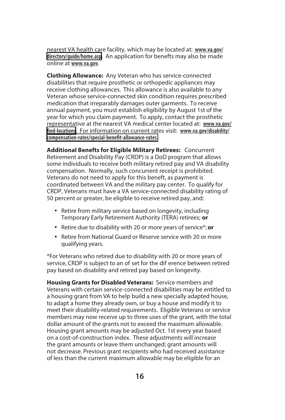nearest VA health care facility, which may be located at: **[www.va.gov/](www.va.gov/directory/guide/home.asp) [directory/guide/home.asp](www.va.gov/directory/guide/home.asp)**. An application for benefts may also be made online at **<www.va.gov>**.

**Clothing Allowance:** Any Veteran who has service-connected disabilities that require prosthetic or orthopedic appliances may receive clothing allowances. This allowance is also available to any Veteran whose service-connected skin condition requires prescribed medication that irreparably damages outer garments. To receive annual payment, you must establish eligibility by August 1st of the year for which you claim payment. To apply, contact the prosthetic representative at the nearest VA medical center located at: **[www.va.gov/](https://www.va.gov/find-locations) [fnd-locations](https://www.va.gov/find-locations)**. For information on current rates visit: **[www.va.gov/disability/](https://www.va.gov/disability/compensation-rates/special-benefit-allowance-rates/) [compensation-rates/special-beneft-allowance-rates](https://www.va.gov/disability/compensation-rates/special-benefit-allowance-rates/)**.

compensation. Normally, such concurrent receipt is prohibited. **Additional Benefts for Eligible Military Retirees:** Concurrent Retirement and Disability Pay (CRDP) is a DoD program that allows some individuals to receive both military retired pay and VA disability Veterans do not need to apply for this beneft, as payment is coordinated between VA and the military pay center. To qualify for CRDP, Veterans must have a VA service-connected disability rating of 50 percent or greater, be eligible to receive retired pay, and:

- Retire from military service based on longevity, including Temporary Early Retirement Authority (TERA) retirees; **or**
- Retire due to disability with 20 or more years of service<sup>\*</sup>; or
- Retire from National Guard or Reserve service with 20 or more qualifying years.

\*For Veterans who retired due to disability with 20 or more years of service, CRDP is subject to an of set for the dif erence between retired pay based on disability and retired pay based on longevity.

dollar amount of the grants not to exceed the maximum allowable. **Housing Grants for Disabled Veterans:** Service members and Veterans with certain service-connected disabilities may be entitled to a housing grant from VA to help build a new specially adapted house, to adapt a home they already own, or buy a house and modify it to meet their disability-related requirements. Eligible Veterans or service members may now receive up to three uses of the grant, with the total Housing grant amounts may be adiusted Oct. 1st every vear based on a cost-of-construction index. These adjustments will increase the grant amounts or leave them unchanged; grant amounts will not decrease. Previous grant recipients who had received assistance of less than the current maximum allowable may be eligible for an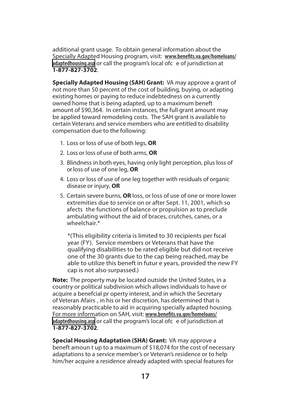additional grant usage. To obtain general information about the Specially Adapted Housing program, visit: **[www.benefts.va.gov/homeloans](https://www.va.gov/housing-assistance/disability-housing-grants/)/ [adaptedhousing.asp](https://www.va.gov/housing-assistance/disability-housing-grants/)** or call the program's local ofc e of jurisdiction at **1-877-827-3702**.

**Specially Adapted Housing (SAH) Grant:** VA may approve a grant of not more than 50 percent of the cost of building, buying, or adapting existing homes or paying to reduce indebtedness on a currently owned home that is being adapted, up to a maximum beneft amount of \$90,364. In certain instances, the full grant amount may be applied toward remodeling costs. The SAH grant is available to certain Veterans and service members who are entitled to disability compensation due to the following:

- 1. Loss or loss of use of both legs, **OR**
- 2. Loss or loss of use of both arms, **OR**
- 3. Blindness in both eyes, having only light perception, plus loss of or loss of use of one leg, **OR**
- 4. Loss or loss of use of one leg together with residuals of organic disease or injury, **OR**
- extremities due to service on or after Sept. 11, 2001, which so ambulating without the aid of braces, crutches, canes, or a 5. Certain severe burns, **OR** loss, or loss of use of one or more lower afects the functions of balance or propulsion as to preclude wheelchair $*$

\*(This eligibility criteria is limited to 30 recipients per fscal year (FY). Service members or Veterans that have the qualifying disabilities to be rated eligible but did not receive one of the 30 grants due to the cap being reached, may be able to utilize this beneft in futur e years, provided the new FY cap is not also surpassed.)

reasonably practicable to aid in acquiring specially adapted housing. **Note:** The property may be located outside the United States, in a country or political subdivision which allows individuals to have or acquire a benefcial pr operty interest, and in which the Secretary of Veteran Afairs , in his or her discretion, has determined that is For more information on SAH, visit: www.benefits.va.gov/homeloans/ **[adaptedhousing.asp](https://www.va.gov/housing-assistance/disability-housing-grants/)** or call the program's local ofc e of jurisdiction at **1-877-827-3702**.

**Special Housing Adaptation (SHA) Grant:** VA may approve a beneft amoun t up to a maximum of \$18,074 for the cost of necessary adaptations to a service member's or Veteran's residence or to help him/her acquire a residence already adapted with special features for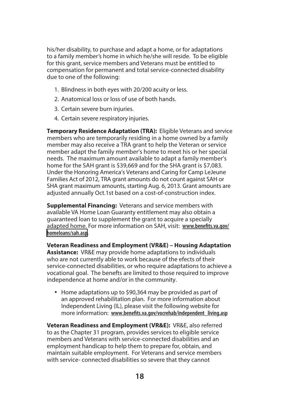his/her disability, to purchase and adapt a home, or for adaptations to a family member's home in which he/she will reside. To be eligible for this grant, service members and Veterans must be entitled to compensation for permanent and total service-connected disability due to one of the following:

- 1. Blindness in both eyes with 20/200 acuity or less.
- 2. Anatomical loss or loss of use of both hands.
- 3. Certain severe burn injuries.
- 4. Certain severe respiratory injuries.

home for the SAH grant is \$39,669 and for the SHA grant is \$7,083. **Temporary Residence Adaptation (TRA):** Eligible Veterans and service members who are temporarily residing in a home owned by a family member may also receive a TRA grant to help the Veteran or service member adapt the family member's home to meet his or her special needs. The maximum amount available to adapt a family member's Under the Honoring America's Veterans and Caring for Camp LeJeune Families Act of 2012, TRA grant amounts do not count against SAH or SHA grant maximum amounts, starting Aug. 6, 2013. Grant amounts are adjusted annually Oct.1st based on a cost-of-construction index.

**Supplemental Financing:** Veterans and service members with available VA Home Loan Guaranty entitlement may also obtain a guaranteed loan to supplement the grant to acquire a specially adapted home. For more information on SAH, visit: **[www.benefts.va.gov/](https://www.va.gov/housing-assistance/disability-housing-grants/how-to-apply/) [homeloans/sah.asp](https://www.va.gov/housing-assistance/disability-housing-grants/how-to-apply/)**.

**Veteran Readiness and Employment (VR&E) – Housing Adaptation Assistance:** VR&E may provide home adaptations to individuals who are not currently able to work because of the efects of their service-connected disabilities, or who require adaptations to achieve a vocational goal. The benefts are limited to those required to improve independence at home and/or in the community.

• Home adaptations up to \$90,364 may be provided as part of an approved rehabilitation plan. For more information about Independent Living (IL), please visit the following website for more information: **[www.benefts.va.gov/vocrehab/independent\\_living.asp](www.benefits.va.gov/vocrehab/independent_living.asp)** 

**Veteran Readiness and Employment (VR&E):** VR&E, also referred to as the Chapter 31 program, provides services to eligible service members and Veterans with service-connected disabilities and an employment handicap to help them to prepare for, obtain, and maintain suitable employment. For Veterans and service members with service- connected disabilities so severe that they cannot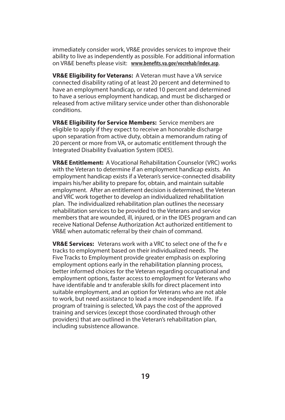immediately consider work, VR&E provides services to improve their ability to live as independently as possible. For additional information on VR&E benefts please visit: **[www.benefts.va.gov/vocrehab/index.asp](www.benefits.va.gov/vocrehab/index.asp)**.

**VR&E Eligibility for Veterans:** A Veteran must have a VA service connected disability rating of at least 20 percent and determined to have an employment handicap, or rated 10 percent and determined to have a serious employment handicap, and must be discharged or released from active military service under other than dishonorable conditions.

**VR&E Eligibility for Service Members:** Service members are eligible to apply if they expect to receive an honorable discharge upon separation from active duty, obtain a memorandum rating of 20 percent or more from VA, or automatic entitlement through the Integrated Disability Evaluation System (IDES).

**VR&E Entitlement:** A Vocational Rehabilitation Counselor (VRC) works with the Veteran to determine if an employment handicap exists. An employment handicap exists if a Veteran's service-connected disability impairs his/her ability to prepare for, obtain, and maintain suitable employment. After an entitlement decision is determined, the Veteran and VRC work together to develop an individualized rehabilitation plan. The individualized rehabilitation plan outlines the necessary rehabilitation services to be provided to the Veterans and service members that are wounded, ill, injured, or in the IDES program and can receive National Defense Authorization Act authorized entitlement to VR&E when automatic referral by their chain of command.

**VR&E Services:** Veterans work with a VRC to select one of the fv e tracks to employment based on their individualized needs. The Five Tracks to Employment provide greater emphasis on exploring employment options early in the rehabilitation planning process, better informed choices for the Veteran regarding occupational and employment options, faster access to employment for Veterans who have identifable and tr ansferable skills for direct placement into suitable employment, and an option for Veterans who are not able to work, but need assistance to lead a more independent life. If a program of training is selected, VA pays the cost of the approved training and services (except those coordinated through other providers) that are outlined in the Veteran's rehabilitation plan, including subsistence allowance.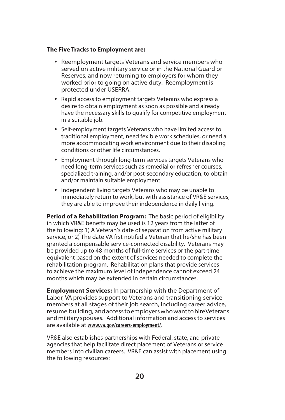#### **The Five Tracks to Employment are:**

- Reemployment targets Veterans and service members who served on active military service or in the National Guard or Reserves, and now returning to employers for whom they worked prior to going on active duty. Reemployment is protected under USERRA.
- Rapid access to employment targets Veterans who express a desire to obtain employment as soon as possible and already have the necessary skills to qualify for competitive employment in a suitable job.
- Self-employment targets Veterans who have limited access to traditional employment, need fexible work schedules, or need a more accommodating work environment due to their disabling conditions or other life circumstances.
- Employment through long-term services targets Veterans who need long-term services such as remedial or refresher courses, specialized training, and/or post-secondary education, to obtain and/or maintain suitable employment.
- Independent living targets Veterans who may be unable to immediately return to work, but with assistance of VR&E services, they are able to improve their independence in daily living.

**Period of a Rehabilitation Program:** The basic period of eligibility in which VR&E benefts may be used is 12 years from the latter of the following: 1) A Veteran's date of separation from active military service, or 2) The date VA frst notifed a Veteran that he/she has been granted a compensable service-connected disability. Veterans may be provided up to 48 months of full-time services or the part-time equivalent based on the extent of services needed to complete the rehabilitation program. Rehabilitation plans that provide services to achieve the maximum level of independence cannot exceed 24 months which may be extended in certain circumstances.

**Employment Services:** In partnership with the Department of Labor, VA provides support to Veterans and transitioning service members at all stages of their job search, including career advice, resume building, and access to employers who want to hire Veterans and military spouses. Additional information and access to services are available at **[www.va.gov/careers-employment/](www.va.gov/careers-employment)**.

VR&E also establishes partnerships with Federal, state, and private agencies that help facilitate direct placement of Veterans or service members into civilian careers. VR&E can assist with placement using the following resources: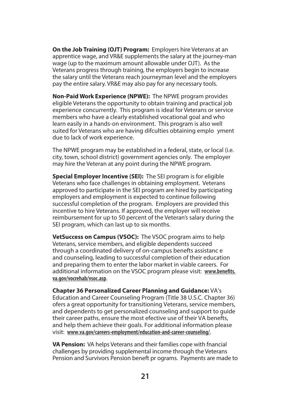**On the Job Training (OJT) Program:** Employers hire Veterans at an apprentice wage, and VR&E supplements the salary at the journey-man wage (up to the maximum amount allowable under OJT). As the Veterans progress through training, the employers begin to increase the salary until the Veterans reach journeyman level and the employers pay the entire salary. VR&E may also pay for any necessary tools.

**Non-Paid Work Experience (NPWE):** The NPWE program provides eligible Veterans the opportunity to obtain training and practical job experience concurrently. This program is ideal for Veterans or service members who have a clearly established vocational goal and who learn easily in a hands-on environment. This program is also well suited for Veterans who are having difculties obtaining emplo yment due to lack of work experience.

The NPWE program may be established in a federal, state, or local (i.e. city, town, school district) government agencies only. The employer may hire the Veteran at any point during the NPWE program.

**Special Employer Incentive (SEI):** The SEI program is for eligible Veterans who face challenges in obtaining employment. Veterans approved to participate in the SEI program are hired by participating employers and employment is expected to continue following successful completion of the program. Employers are provided this incentive to hire Veterans. If approved, the employer will receive reimbursement for up to 50 percent of the Veteran's salary during the SEI program, which can last up to six months.

**VetSuccess on Campus (VSOC):** The VSOC program aims to help Veterans, service members, and eligible dependents succeed through a coordinated delivery of on-campus benefts assistanc e and counseling, leading to successful completion of their education and preparing them to enter the labor market in viable careers. For additional information on the VSOC program please visit: **[www.benefts.](https://www.benefits.va.gov/vocrehab/vsoc.asp) [va.gov/vocrehab/vsoc.asp](https://www.benefits.va.gov/vocrehab/vsoc.asp)**.

**Chapter 36 Personalized Career Planning and Guidance:** VA's Education and Career Counseling Program (Title 38 U.S.C. Chapter 36) ofers a great opportunity for transitioning Veterans, service members, and dependents to get personalized counseling and support to guide their career paths, ensure the most efective use of their VA benefts, and help them achieve their goals. For additional information please visit: **<www.va.gov/careers-employment/education-and-career-counseling>/**.

**VA Pension:** VA helps Veterans and their families cope with fnancial challenges by providing supplemental income through the Veterans Pension and Survivors Pension beneft pr ograms. Payments are made to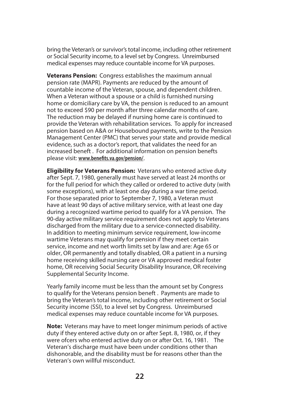bring the Veteran's or survivor's total income, including other retirement or Social Security income, to a level set by Congress. Unreimbursed medical expenses may reduce countable income for VA purposes.

countable income of the Veteran, spouse, and dependent children. not to exceed \$90 per month after three calendar months of care. **Veterans Pension:** Congress establishes the maximum annual pension rate (MAPR). Payments are reduced by the amount of When a Veteran without a spouse or a child is furnished nursing home or domiciliary care by VA, the pension is reduced to an amount The reduction may be delayed if nursing home care is continued to provide the Veteran with rehabilitation services. To apply for increased pension based on A&A or Housebound payments, write to the Pension Management Center (PMC) that serves your state and provide medical evidence, such as a doctor's report, that validates the need for an increased beneft . For additional information on pension benefts please visit: **[www.benefts.va.gov/pension/](www.benefits.va.gov/pension)**.

some exceptions), with at least one day during a war time period.<br>For those separated prior to September 7, 1980, a Veteran must discharged from the military due to a service-connected disability. **Eligibility for Veterans Pension:** Veterans who entered active duty after Sept. 7, 1980, generally must have served at least 24 months or for the full period for which they called or ordered to active duty (with have at least 90 days of active military service, with at least one day during a recognized wartime period to qualify for a VA pension. The 90-day active military service requirement does not apply to Veterans In addition to meeting minimum service requirement, low-income wartime Veterans may qualify for pension if they meet certain service, income and net worth limits set by law and are: Age 65 or older, OR permanently and totally disabled, OR a patient in a nursing home receiving skilled nursing care or VA approved medical foster home, OR receiving Social Security Disability Insurance, OR receiving Supplemental Security Income.

Yearly family income must be less than the amount set by Congress to qualify for the Veterans pension beneft . Payments are made to bring the Veteran's total income, including other retirement or Social Security income (SSI), to a level set by Congress. Unreimbursed medical expenses may reduce countable income for VA purposes.

**Note:** Veterans may have to meet longer minimum periods of active duty if they entered active duty on or after Sept. 8, 1980, or, if they were ofcers who entered active duty on or after Oct. 16, 1981. The Veteran's discharge must have been under conditions other than dishonorable, and the disability must be for reasons other than the Veteran's own willful misconduct.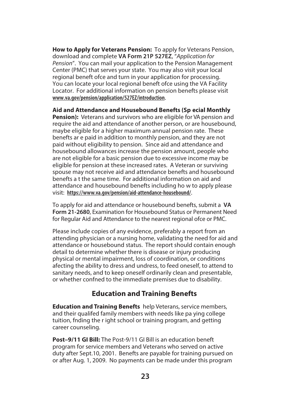<span id="page-28-0"></span>**How to Apply for Veterans Pension:** To apply for Veterans Pension, download and complete **VA Form 21P 527EZ**, "*Application for Pension*". You can mail your application to the Pension Management Center (PMC) that serves your state. You may also visit your local regional beneft ofce and turn in your application for processing. You can locate your local regional beneft ofce using the VA Facility Locator. For additional information on pension benefts please visit **<www.va.gov/pension/application/527EZ/introduction>**.

**Aid and Attendance and Housebound Benefts (Sp ecial Monthly Pension):** Veterans and survivors who are eligible for VA pension and require the aid and attendance of another person, or are housebound, maybe eligible for a higher maximum annual pension rate. These benefts ar e paid in addition to monthly pension, and they are not paid without eligibility to pension. Since aid and attendance and housebound allowances increase the pension amount, people who are not eligible for a basic pension due to excessive income may be eligible for pension at these increased rates. A Veteran or surviving spouse may not receive aid and attendance benefts and housebound benefts a t the same time. For additional information on aid and attendance and housebound benefts including ho w to apply please visit: **[https://www.va.gov/pension/aid-attendance-housebound/](https://www.va.gov/pension/aid-attendance-housebound)**.

To apply for aid and attendance or housebound benefts, submit a **VA Form 21-2680**, Examination for Housebound Status or Permanent Need for Regular Aid and Attendance to the nearest regional ofce or PMC.

Please include copies of any evidence, preferably a report from an attending physician or a nursing home, validating the need for aid and attendance or housebound status. The report should contain enough detail to determine whether there is disease or injury producing physical or mental impairment, loss of coordination, or conditions afecting the ability to dress and undress, to feed oneself, to attend to sanitary needs, and to keep oneself ordinarily clean and presentable, or whether confned to the immediate premises due to disability.

## **Education and Training Benefts**

**Education and Training Benefts** help Veterans, service members, and their qualifed family members with needs like pa ying college tuition, fnding the r ight school or training program, and getting career counseling.

**Post–9/11 GI Bill:** The Post-9/11 GI Bill is an education beneft program for service members and Veterans who served on active duty after Sept.10, 2001. Benefts are payable for training pursued on or after Aug. 1, 2009. No payments can be made under this program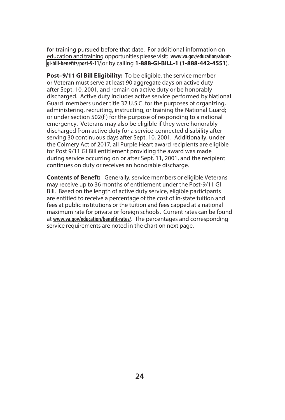for training pursued before that date. For additional information on education and training opportunities please visit: **[www.va.gov/education/about](https://www.va.gov/education/about-gi-bill-benefits/post-9-11/)[gi-bill-benefts/post-9-11/](https://www.va.gov/education/about-gi-bill-benefits/post-9-11/)** or by calling **1-888-GI-BILL-1 (1-888-442-4551**).

**Post–9/11 GI Bill Eligibility:** To be eligible, the service member or Veteran must serve at least 90 aggregate days on active duty after Sept. 10, 2001, and remain on active duty or be honorably discharged. Active duty includes active service performed by National Guard members under title 32 U.S.C. for the purposes of organizing, administering, recruiting, instructing, or training the National Guard; or under section 502(f ) for the purpose of responding to a national emergency. Veterans may also be eligible if they were honorably discharged from active duty for a service-connected disability after serving 30 continuous days after Sept. 10, 2001. Additionally, under the Colmery Act of 2017, all Purple Heart award recipients are eligible for Post 9/11 GI Bill entitlement providing the award was made during service occurring on or after Sept. 11, 2001, and the recipient continues on duty or receives an honorable discharge.

**Contents of Beneft:** Generally, service members or eligible Veterans may receive up to 36 months of entitlement under the Post-9/11 GI Bill. Based on the length of active duty service, eligible participants are entitled to receive a percentage of the cost of in-state tuition and fees at public institutions or the tuition and fees capped at a national maximum rate for private or foreign schools. Current rates can be found at **[www.va.gov/education/beneft-rates](www.va.gov/education/benefit-rates)/**. The percentages and corresponding service requirements are noted in the chart on next page.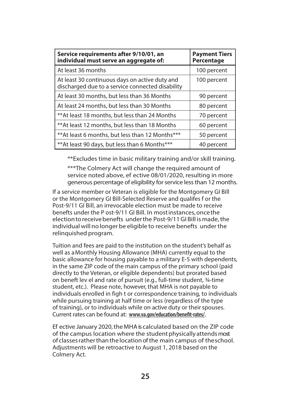| Service requirements after 9/10/01, an<br>individual must serve an aggregate of:                   | <b>Payment Tiers</b><br>Percentage |
|----------------------------------------------------------------------------------------------------|------------------------------------|
| At least 36 months                                                                                 | 100 percent                        |
| At least 30 continuous days on active duty and<br>discharged due to a service connected disability | 100 percent                        |
| At least 30 months, but less than 36 Months                                                        | 90 percent                         |
| At least 24 months, but less than 30 Months                                                        | 80 percent                         |
| ** At least 18 months, but less than 24 Months                                                     | 70 percent                         |
| ** At least 12 months, but less than 18 Months                                                     | 60 percent                         |
| ** At least 6 months, but less than 12 Months***                                                   | 50 percent                         |
| **At least 90 days, but less than 6 Months***                                                      | 40 percent                         |

\*\*Excludes time in basic military training and/or skill training.

\*\*\*The Colmery Act will change the required amount of service noted above, ef ective 08/01/2020, resulting in more generous percentage of eligibility for service less than 12 months.

If a service member or Veteran is eligible for the Montgomery GI Bill or the Montgomery GI Bill-Selected Reserve and qualifes f or the Post-9/11 GI Bill, an irrevocable election must be made to receive benefts under the P ost-9/11 GI Bill. In most instances, once the election to receive benefts under the Post-9/11 GI Bill is made, the individual will no longer be eligible to receive benefts under the relinquished program.

of training), or to individuals while on active duty or their spouses. Tuition and fees are paid to the institution on the student's behalf as well as a Monthly Housing Allowance (MHA) currently equal to the basic allowance for housing payable to a military E-5 with dependents, in the same ZIP code of the main campus of the primary school (paid directly to the Veteran, or eligible dependents) but prorated based on beneft lev el and rate of pursuit (e.g., full-time student, ¾-time student, etc.). Please note, however, that MHA is not payable to individuals enrolled in figh t or correspondence training, to individuals while pursuing training at half time or less (regardless of the type Current rates can be found at: www.va.gov/education/benefit-rates/.

 Ef ective January 2020, the MHA is calculated based on the ZIP code of classes rather than the location of the main campus of the school.<br>Adjustments will be retroactive to August 1, 2018 based on the of the campus location where the student physically attends most Colmery Act.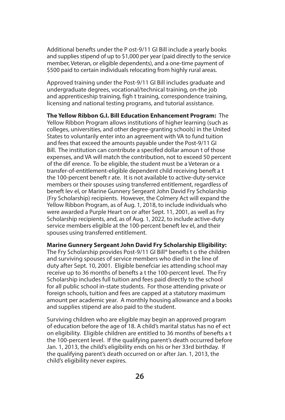Additional benefts under the P ost-9/11 GI Bill include a yearly books and supplies stipend of up to \$1,000 per year (paid directly to the service member, Veteran, or eligible dependents), and a one-time payment of \$500 paid to certain individuals relocating from highly rural areas.

Approved training under the Post-9/11 GI Bill includes graduate and undergraduate degrees, vocational/technical training, on-the job and apprenticeship training, figh t training, correspondence training, licensing and national testing programs, and tutorial assistance.

 Yellow Ribbon Program allows institutions of higher learning (such as **The Yellow Ribbon G.I. Bill Education Enhancement Program:** The colleges, universities, and other degree-granting schools) in the United States to voluntarily enter into an agreement with VA to fund tuition and fees that exceed the amounts payable under the Post-9/11 GI Bill. The institution can contribute a specifed dollar amoun t of those expenses, and VA will match the contribution, not to exceed 50 percent of the dif erence. To be eligible, the student must be a Veteran or a transfer-of-entitlement-eligible dependent child receiving beneft a t the 100-percent beneft r ate. It is not available to active-duty-service members or their spouses using transferred entitlement, regardless of beneft lev el, or Marine Gunnery Sergeant John David Fry Scholarship (Fry Scholarship) recipients. However, the Colmery Act will expand the Yellow Ribbon Program, as of Aug. 1, 2018, to include individuals who were awarded a Purple Heart on or after Sept. 11, 2001, as well as Fry Scholarship recipients, and, as of Aug. 1, 2022, to include active-duty service members eligible at the 100-percent beneft lev el, and their spouses using transferred entitlement.

#### **Marine Gunnery Sergeant John David Fry Scholarship Eligibility:**

The Fry Scholarship provides Post-9/11 GI Bill® benefts t o the children and surviving spouses of service members who died in the line of duty after Sept. 10, 2001. Eligible benefciar ies attending school may receive up to 36 months of benefts a t the 100-percent level. The Fry Scholarship includes full tuition and fees paid directly to the school for all public school in-state students. For those attending private or foreign schools, tuition and fees are capped at a statutory maximum amount per academic year. A monthly housing allowance and a books and supplies stipend are also paid to the student.

 Jan. 1, 2013, the child's eligibility ends on his or her 33rd birthday. If Surviving children who are eligible may begin an approved program of education before the age of 18. A child's marital status has no ef ect on eligibility. Eligible children are entitled to 36 months of benefts a t the 100-percent level. If the qualifying parent's death occurred before the qualifying parent's death occurred on or after Jan. 1, 2013, the child's eligibility never expires.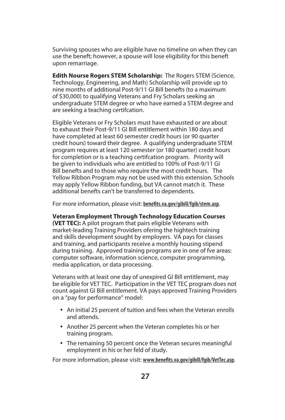Surviving spouses who are eligible have no timeline on when they can use the beneft; however, a spouse will lose eligibility for this beneft upon remarriage.

**Edith Nourse Rogers STEM Scholarship:** The Rogers STEM (Science, Technology, Engineering, and Math) Scholarship will provide up to nine months of additional Post-9/11 GI Bill benefts (to a maximum of \$30,000) to qualifying Veterans and Fry Scholars seeking an undergraduate STEM degree or who have earned a STEM degree and are seeking a teaching certifcation.

Eligible Veterans or Fry Scholars must have exhausted or are about to exhaust their Post-9/11 GI Bill entitlement within 180 days and have completed at least 60 semester credit hours (or 90 quarter credit hours) toward their degree. A qualifying undergraduate STEM program requires at least 120 semester (or 180 quarter) credit hours for completion or is a teaching certifcation program. Priority will be given to individuals who are entitled to 100% of Post-9/11 GI Bill benefts and to those who require the most credit hours. The Yellow Ribbon Program may not be used with this extension. Schools may apply Yellow Ribbon funding, but VA cannot match it. These additional benefts can't be transferred to dependents.

For more information, please visit: **[benefts.va.gov/gibill/fgib/stem.asp](https://benefits.va.gov/gibill/fgib/stem.asp)**.

**Veteran Employment Through Technology Education Courses** 

 during training. Approved training programs are in one of fve areas: **(VET TEC):** A pilot program that pairs eligible Veterans with market-leading Training Providers ofering the hightech training and skills development sought by employers. VA pays for classes and training, and participants receive a monthly housing stipend computer software, information science, computer programming, media application, or data processing.

Veterans with at least one day of unexpired GI Bill entitlement, may be eligible for VET TEC. Participation in the VET TEC program does not count against GI Bill entitlement. VA pays approved Training Providers on a "pay for performance" model:

- An initial 25 percent of tuition and fees when the Veteran enrolls and attends.
- Another 25 percent when the Veteran completes his or her training program.
- The remaining 50 percent once the Veteran secures meaningful employment in his or her feld of study.

For more information, please visit: **[www.benefts.va.gov/gibill/fgib/VetTec.asp](www.benefits.va.gov/gibill/fgib/VetTec.asp)**.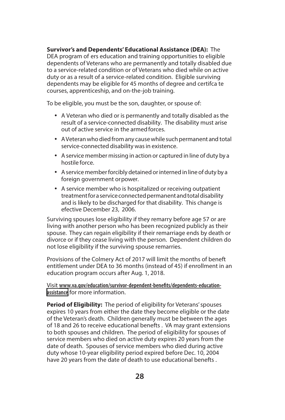**Survivor's and Dependents' Educational Assistance (DEA):** The DEA program of ers education and training opportunities to eligible dependents of Veterans who are permanently and totally disabled due to a service-related condition or of Veterans who died while on active duty or as a result of a service-related condition. Eligible surviving dependents may be eligible for 45 months of degree and certifca te courses, apprenticeship, and on-the-job training.

To be eligible, you must be the son, daughter, or spouse of:

- A Veteran who died or is permanently and totally disabled as the result of a service-connected disability. The disability must arise out of active service in the armed forces.
- A Veteran who died from any cause while such permanent and total service-connected disability was in existence.
- A service member missing in action or captured in line of duty by a hostile force.
- A service member forcibly detained or interned in line of duty by a foreign government or power.
- A service member who is hospitalized or receiving outpatient treatment for a service connected permanent and total disability and is likely to be discharged for that disability. This change is efective December 23, 2006.

Surviving spouses lose eligibility if they remarry before age 57 or are living with another person who has been recognized publicly as their spouse. They can regain eligibility if their remarriage ends by death or divorce or if they cease living with the person. Dependent children do not lose eligibility if the surviving spouse remarries.

Provisions of the Colmery Act of 2017 will limit the months of beneft entitlement under DEA to 36 months (instead of 45) if enrollment in an education program occurs after Aug. 1, 2018.

Visit **[www.va.gov/education/survivor-dependent-benefts/dependents-education](https://www.va.gov/education/survivor-dependent-benefits/dependents-education-assistance/)[assistance](https://www.va.gov/education/survivor-dependent-benefits/dependents-education-assistance/)** for more information.

**Period of Eligibility:** The period of eligibility for Veterans' spouses expires 10 years from either the date they become eligible or the date of the Veteran's death. Children generally must be between the ages of 18 and 26 to receive educational benefts . VA may grant extensions to both spouses and children. The period of eligibility for spouses of service members who died on active duty expires 20 years from the date of death. Spouses of service members who died during active duty whose 10-year eligibility period expired before Dec. 10, 2004 have 20 years from the date of death to use educational benefts .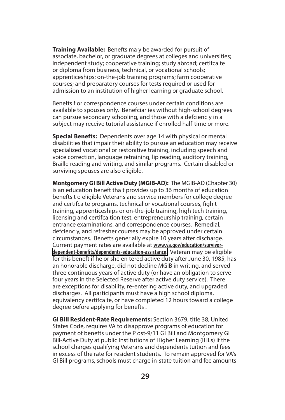**Training Available:** Benefts ma y be awarded for pursuit of associate, bachelor, or graduate degrees at colleges and universities; independent study; cooperative training; study abroad; certifca te or diploma from business, technical, or vocational schools; apprenticeships; on-the-job training programs; farm cooperative courses; and preparatory courses for tests required or used for admission to an institution of higher learning or graduate school.

Benefts f or correspondence courses under certain conditions are available to spouses only. Benefciar ies without high-school degrees can pursue secondary schooling, and those with a defcienc y in a subject may receive tutorial assistance if enrolled half-time or more.

**Special Benefts:** Dependents over age 14 with physical or mental disabilities that impair their ability to pursue an education may receive specialized vocational or restorative training, including speech and voice correction, language retraining, lip reading, auditory training, Braille reading and writing, and similar programs. Certain disabled or surviving spouses are also eligible.

**Montgomery GI Bill Active Duty (MGIB-AD):** The MGIB-AD (Chapter 30) is an education beneft tha t provides up to 36 months of education benefts t o eligible Veterans and service members for college degree and certifca te programs, technical or vocational courses, figh t training, apprenticeships or on-the-job training, high tech training, licensing and certifca tion test, entrepreneurship training, certain entrance examinations, and correspondence courses. Remedial, defcienc y, and refresher courses may be approved under certain circumstances. Benefts gener ally expire 10 years after discharge. Current payment rates are available at **[www.va.gov/education/survivor](https://www.va.gov/education/survivor-dependent-benefits/dependents-education-assistance/)[dependent-benefts/dependents-education-assistance](https://www.va.gov/education/survivor-dependent-benefits/dependents-education-assistance/)**. Veteran may be eligible for this beneft if he or she en tered active duty after June 30, 1985, has an honorable discharge, did not decline MGIB in writing, and served three continuous years of active duty (or have an obligation to serve four years in the Selected Reserve after active duty service). There are exceptions for disability, re-entering active duty, and upgraded discharges. All participants must have a high school diploma, equivalency certifca te, or have completed 12 hours toward a college degree before applying for benefts .

**GI Bill Resident-Rate Requirements:** Section 3679, title 38, United States Code, requires VA to disapprove programs of education for payment of benefts under the P ost-9/11 GI Bill and Montgomery GI Bill-Active Duty at public Institutions of Higher Learning (IHLs) if the school charges qualifying Veterans and dependents tuition and fees in excess of the rate for resident students. To remain approved for VA's GI Bill programs, schools must charge in-state tuition and fee amounts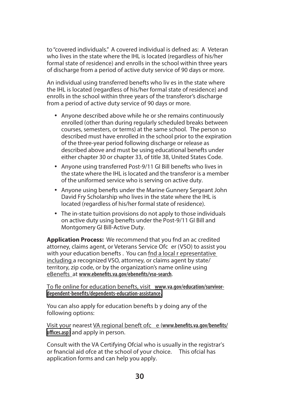to "covered individuals." A covered individual is defned as: A Veteran who lives in the state where the IHL is located (regardless of his/her formal state of residence) and enrolls in the school within three years of discharge from a period of active duty service of 90 days or more.

An individual using transferred benefts who liv es in the state where the IHL is located (regardless of his/her formal state of residence) and enrolls in the school within three years of the transferor's discharge from a period of active duty service of 90 days or more.

- Anyone described above while he or she remains continuously enrolled (other than during regularly scheduled breaks between courses, semesters, or terms) at the same school. The person so described must have enrolled in the school prior to the expiration of the three-year period following discharge or release as described above and must be using educational benefts under either chapter 30 or chapter 33, of title 38, United States Code.
- Anyone using transferred Post-9/11 GI Bill benefts who lives in the state where the IHL is located and the transferor is a member of the uniformed service who is serving on active duty.
- Anyone using benefts under the Marine Gunnery Sergeant John David Fry Scholarship who lives in the state where the IHL is located (regardless of his/her formal state of residence).
- The in-state tuition provisions do not apply to those individuals on active duty using benefts under the Post-9/11 GI Bill and Montgomery GI Bill-Active Duty.

**Application Process:** We recommend that you fnd an ac credited attorney, claims agent, or Veterans Service Ofc er (VSO) to assist you with your education benefts . You can fnd a local r epresentative including a recognized VSO, attorney, or claims agent by state/ territory, zip code, or by the organization's name online using eBenefts at **[www.ebenefts.va.gov/ebenefts/vso-search](www.ebenefits.va.gov/ebenefits/vso-search)**.

To fle online for education benefts, visit **[www.va.gov/education/survivor](https://www.va.gov/education/survivor-dependent-benefits/dependents-education-assistance/)[dependent-benefts/dependents-education-assistance.](https://www.va.gov/education/survivor-dependent-benefits/dependents-education-assistance/)** 

You can also apply for education benefts b y doing any of the following options:

Visit your nearest VA regional beneft ofc e (**[www.benefts.va.gov/benefts/](https://www.benefits.va.gov/benefits/offices.asp)**  offices.asp) and apply in person.

Consult with the VA Certifying Ofcial who is usually in the registrar's or fnancial aid ofce at the school of your choice. This ofcial has application forms and can help you apply.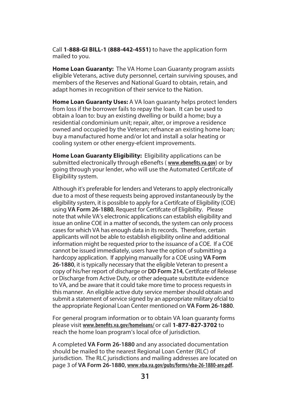Call **1-888-GI BILL-1 (888-442-4551)** to have the application form mailed to you.

**Home Loan Guaranty:** The VA Home Loan Guaranty program assists eligible Veterans, active duty personnel, certain surviving spouses, and members of the Reserves and National Guard to obtain, retain, and adapt homes in recognition of their service to the Nation.

**Home Loan Guaranty Uses:** A VA loan guaranty helps protect lenders from loss if the borrower fails to repay the loan. It can be used to obtain a loan to: buy an existing dwelling or build a home; buy a residential condominium unit; repair, alter, or improve a residence owned and occupied by the Veteran; refnance an existing home loan; buy a manufactured home and/or lot and install a solar heating or cooling system or other energy-efcient improvements.

**Home Loan Guaranty Eligibility:** Eligibility applications can be submitted electronically through eBenefts ( **[www.ebenefts.va.gov](www.ebenefits.va.gov)**) or by going through your lender, who will use the Automated Certifcate of Eligibility system.

Although it's preferable for lenders and Veterans to apply electronically due to a most of these requests being approved instantaneously by the eligibility system, it is possible to apply for a Certifcate of Eligibility (COE) using **VA Form 26-1880**, Request for Certifcate of Eligibility. Please note that while VA's electronic applications can establish eligibility and issue an online COE in a matter of seconds, the system can only process cases for which VA has enough data in its records. Therefore, certain applicants will not be able to establish eligibility online and additional information might be requested prior to the issuance of a COE. If a COE cannot be issued immediately, users have the option of submitting a hardcopy application. If applying manually for a COE using **VA Form 26-1880**, it is typically necessary that the eligible Veteran to present a copy of his/her report of discharge or **DD Form 214**, Certifcate of Release or Discharge from Active Duty, or other adequate substitute evidence to VA, and be aware that it could take more time to process requests in this manner. An eligible active duty service member should obtain and submit a statement of service signed by an appropriate military ofcial to the appropriate Regional Loan Center mentioned on **VA Form 26-1880**.

For general program information or to obtain VA loan guaranty forms please visit **[www.benefts.va.gov/homeloans](www.benefits.va.gov/homeloans)/** or call **1-877-827-3702** to reach the home loan program's local ofce of jurisdiction.

A completed **VA Form 26-1880** and any associated documentation should be mailed to the nearest Regional Loan Center (RLC) of jurisdiction. The RLC jurisdictions and mailing addresses are located on page 3 of **VA Form 26-1880**, **[www.vba.va.gov/pubs/forms/vba-26-1880-are.pdf.](www.vba.va.gov/pubs/forms/vba-26-1880-are.pdf)**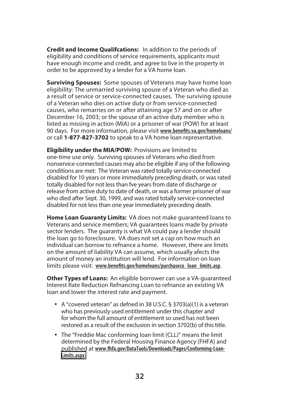**Credit and Income Qualifcations:** In addition to the periods of eligibility and conditions of service requirements, applicants must have enough income and credit, and agree to live in the property in order to be approved by a lender for a VA home loan.

 December 16, 2003; or the spouse of an active duty member who is **Surviving Spouses:** Some spouses of Veterans may have home loan eligibility: The unmarried surviving spouse of a Veteran who died as a result of service or service-connected causes. The surviving spouse of a Veteran who dies on active duty or from service-connected causes, who remarries on or after attaining age 57 and on or after listed as missing in action (MIA) or a prisoner of war (POW) for at least 90 days. For more information, please visit **[www.benefts.va.gov/homeloans](www.benefits.va.gov/homeloans)/**  or call **1-877-827-3702** to speak to a VA home loan representative.

**Eligibility under the MIA/POW:** Provisions are limited to one-time use only. Surviving spouses of Veterans who died from nonservice-connected causes may also be eligible if any of the following conditions are met: The Veteran was rated totally service-connected disabled for 10 years or more immediately preceding death, or was rated totally disabled for not less than fve years from date of discharge or release from active duty to date of death, or was a former prisoner of war who died after Sept. 30, 1999, and was rated totally service-connected disabled for not less than one year immediately preceding death.

**Home Loan Guaranty Limits:** VA does not make guaranteed loans to Veterans and service members; VA guarantees loans made by private sector lenders. The guaranty is what VA could pay a lender should the loan go to foreclosure. VA does not set a cap on how much an individual can borrow to refnance a home. However, there are limits on the amount of liability VA can assume, which usually afects the amount of money an institution will lend. For information on loan limits please visit: **[www.benefts.gov/homeloans/purchaseco\\_loan\\_limits.asp](https://www.va.gov/housing-assistance/home-loans/loan-limits/)**.

**Other Types of Loans:** An eligible borrower can use a VA-guaranteed Interest Rate Reduction Refnancing Loan to refnance an existing VA loan and lower the interest rate and payment.

- A "covered veteran" as defned in 38 U.S.C. § 3703(a)(1) is a veteran who has previously used entitlement under this chapter and for whom the full amount of entitlement so used has not been restored as a result of the exclusion in section 3702(b) of this title.
- The "Freddie Mac conforming loan limit (CLL)" means the limit determined by the Federal Housing Finance Agency (FHFA) and published at **[www.fhfa.gov/DataTools/Downloads/Pages/Conforming-Loan](https://www.fhfa.gov/DataTools/Downloads/Pages/Conforming-Loan-Limits.aspx)-[Limits.aspx](https://www.fhfa.gov/DataTools/Downloads/Pages/Conforming-Loan-Limits.aspx)**.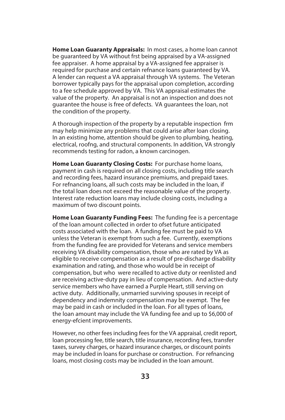**Home Loan Guaranty Appraisals:** In most cases, a home loan cannot be guaranteed by VA without frst being appraised by a VA-assigned fee appraiser. A home appraisal by a VA-assigned fee appraiser is required for purchase and certain refnance loans guaranteed by VA. A lender can request a VA appraisal through VA systems. The Veteran borrower typically pays for the appraisal upon completion, according to a fee schedule approved by VA. This VA appraisal estimates the value of the property. An appraisal is not an inspection and does not guarantee the house is free of defects. VA guarantees the loan, not the condition of the property.

may help minimize any problems that could arise after loan closing. A thorough inspection of the property by a reputable inspection frm In an existing home, attention should be given to plumbing, heating, electrical, roofng, and structural components. In addition, VA strongly recommends testing for radon, a known carcinogen.

and recording fees, hazard insurance premiums, and prepaid taxes. the total loan does not exceed the reasonable value of the property. **Home Loan Guaranty Closing Costs:** For purchase home loans, payment in cash is required on all closing costs, including title search For refnancing loans, all such costs may be included in the loan, if Interest rate reduction loans may include closing costs, including a maximum of two discount points.

 active duty. Additionally, unmarried surviving spouses in receipt of **Home Loan Guaranty Funding Fees:** The funding fee is a percentage of the loan amount collected in order to ofset future anticipated costs associated with the loan. A funding fee must be paid to VA unless the Veteran is exempt from such a fee. Currently, exemptions from the funding fee are provided for Veterans and service members receiving VA disability compensation, those who are rated by VA as eligible to receive compensation as a result of pre-discharge disability examination and rating, and those who would be in receipt of compensation, but who were recalled to active duty or reenlisted and are receiving active-duty pay in lieu of compensation. And active-duty service members who have earned a Purple Heart, still serving on dependency and indemnity compensation may be exempt. The fee may be paid in cash or included in the loan. For all types of loans, the loan amount may include the VA funding fee and up to \$6,000 of energy-efcient improvements.

However, no other fees including fees for the VA appraisal, credit report, loan processing fee, title search, title insurance, recording fees, transfer taxes, survey charges, or hazard insurance charges, or discount points may be included in loans for purchase or construction. For refnancing loans, most closing costs may be included in the loan amount.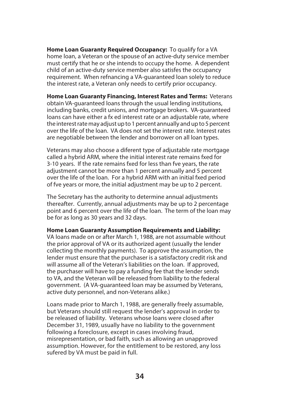**Home Loan Guaranty Required Occupancy:** To qualify for a VA home loan, a Veteran or the spouse of an active-duty service member must certify that he or she intends to occupy the home. A dependent child of an active-duty service member also satisfes the occupancy requirement. When refnancing a VA-guaranteed loan solely to reduce the interest rate, a Veteran only needs to certify prior occupancy.

**Home Loan Guaranty Financing, Interest Rates and Terms:** Veterans obtain VA-guaranteed loans through the usual lending institutions, including banks, credit unions, and mortgage brokers. VA-guaranteed loans can have either a fx ed interest rate or an adjustable rate, where the interest rate may adjust up to 1 percent annually and up to 5 percent over the life of the loan. VA does not set the interest rate. Interest rates are negotiable between the lender and borrower on all loan types.

Veterans may also choose a diferent type of adjustable rate mortgage called a hybrid ARM, where the initial interest rate remains fxed for 3-10 years. If the rate remains fxed for less than fve years, the rate adjustment cannot be more than 1 percent annually and 5 percent over the life of the loan. For a hybrid ARM with an initial fxed period of fve years or more, the initial adjustment may be up to 2 percent.

The Secretary has the authority to determine annual adjustments thereafter. Currently, annual adjustments may be up to 2 percentage point and 6 percent over the life of the loan. The term of the loan may be for as long as 30 years and 32 days.

#### **Home Loan Guaranty Assumption Requirements and Liability:**

VA loans made on or after March 1, 1988, are not assumable without the prior approval of VA or its authorized agent (usually the lender collecting the monthly payments). To approve the assumption, the lender must ensure that the purchaser is a satisfactory credit risk and will assume all of the Veteran's liabilities on the loan. If approved, the purchaser will have to pay a funding fee that the lender sends to VA, and the Veteran will be released from liability to the federal government. (A VA-guaranteed loan may be assumed by Veterans, active duty personnel, and non-Veterans alike.)

Loans made prior to March 1, 1988, are generally freely assumable, but Veterans should still request the lender's approval in order to be released of liability. Veterans whose loans were closed after December 31, 1989, usually have no liability to the government following a foreclosure, except in cases involving fraud, misrepresentation, or bad faith, such as allowing an unapproved assumption. However, for the entitlement to be restored, any loss sufered by VA must be paid in full.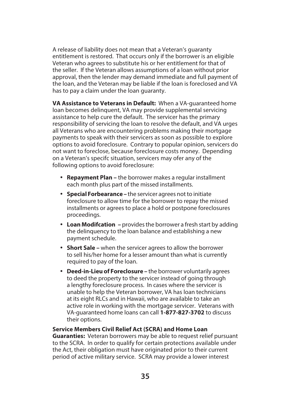A release of liability does not mean that a Veteran's guaranty entitlement is restored. That occurs only if the borrower is an eligible Veteran who agrees to substitute his or her entitlement for that of the seller. If the Veteran allows assumptions of a loan without prior approval, then the lender may demand immediate and full payment of the loan, and the Veteran may be liable if the loan is foreclosed and VA has to pay a claim under the loan guaranty.

**VA Assistance to Veterans in Default:** When a VA-guaranteed home loan becomes delinquent, VA may provide supplemental servicing assistance to help cure the default. The servicer has the primary responsibility of servicing the loan to resolve the default, and VA urges all Veterans who are encountering problems making their mortgage payments to speak with their servicers as soon as possible to explore options to avoid foreclosure. Contrary to popular opinion, servicers do not want to foreclose, because foreclosure costs money. Depending on a Veteran's specifc situation, servicers may ofer any of the following options to avoid foreclosure:

- **Repayment Plan –** the borrower makes a regular installment each month plus part of the missed installments.
- **Special Forbearance** the servicer agrees not to initiate foreclosure to allow time for the borrower to repay the missed installments or agrees to place a hold or postpone foreclosures proceedings.
- Loan Modifcation provides the borrower a fresh start by adding the delinquency to the loan balance and establishing a new payment schedule.
- **Short Sale** when the servicer agrees to allow the borrower to sell his/her home for a lesser amount than what is currently required to pay of the loan.
- **Deed-in-Lieu of Foreclosure** the borrower voluntarily agrees to deed the property to the servicer instead of going through a lengthy foreclosure process. In cases where the servicer is unable to help the Veteran borrower, VA has loan technicians at its eight RLCs and in Hawaii, who are available to take an active role in working with the mortgage servicer. Veterans with VA-guaranteed home loans can call **1-877-827-3702** to discuss their options.

## **Service Members Civil Relief Act (SCRA) and Home Loan**

**Guaranties:** Veteran borrowers may be able to request relief pursuant to the SCRA. In order to qualify for certain protections available under the Act, their obligation must have originated prior to their current period of active military service. SCRA may provide a lower interest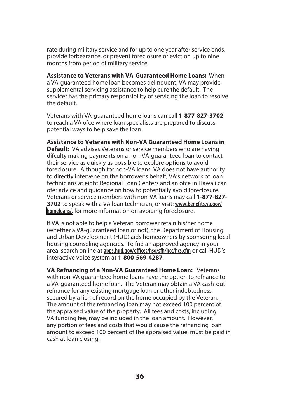rate during military service and for up to one year after service ends, provide forbearance, or prevent foreclosure or eviction up to nine months from period of military service.

**Assistance to Veterans with VA-Guaranteed Home Loans:** When a VA-guaranteed home loan becomes delinquent, VA may provide supplemental servicing assistance to help cure the default. The servicer has the primary responsibility of servicing the loan to resolve the default.

Veterans with VA-guaranteed home loans can call **1-877-827-3702**  to reach a VA ofce where loan specialists are prepared to discuss potential ways to help save the loan.

**Assistance to Veterans with Non-VA Guaranteed Home Loans in Default:** VA advises Veterans or service members who are having difculty making payments on a non-VA-guaranteed loan to contact their service as quickly as possible to explore options to avoid foreclosure. Although for non-VA loans, VA does not have authority to directly intervene on the borrower's behalf, VA's network of loan technicians at eight Regional Loan Centers and an ofce in Hawaii can ofer advice and guidance on how to potentially avoid foreclosure. Veterans or service members with non-VA loans may call **1-877-827- 3702** to speak with a VA loan technician, or visit: **[www.benefts.va.gov](https://www.benefits.va.gov/homeloans/)/ [homeloans/](https://www.benefits.va.gov/homeloans/)**, for more information on avoiding foreclosure.

If VA is not able to help a Veteran borrower retain his/her home (whether a VA-guaranteed loan or not), the Department of Housing and Urban Development (HUD) aids homeowners by sponsoring local housing counseling agencies. To fnd an approved agency in your area, search online at **apps.hud.gov/offices/hsg/sfh/hcc/hcs.cfm** or call HUD's interactive voice system at **1-800-569-4287**.

secured by a lien of record on the home occupied by the Veteran. **VA Refnancing of a Non-VA Guaranteed Home Loan:** Veterans with non-VA guaranteed home loans have the option to refnance to a VA-guaranteed home loan. The Veteran may obtain a VA cash-out refnance for any existing mortgage loan or other indebtedness The amount of the refnancing loan may not exceed 100 percent of the appraised value of the property. All fees and costs, including VA funding fee, may be included in the loan amount. However, any portion of fees and costs that would cause the refnancing loan amount to exceed 100 percent of the appraised value, must be paid in cash at loan closing.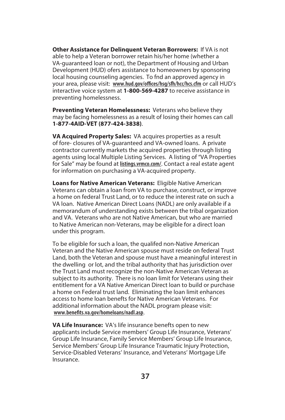**Other Assistance for Delinquent Veteran Borrowers:** If VA is not able to help a Veteran borrower retain his/her home (whether a VA-guaranteed loan or not), the Department of Housing and Urban Development (HUD) ofers assistance to homeowners by sponsoring local housing counseling agencies. To fnd an approved agency in your area, please visit: www.hud.gov/offices/hsg/sfh/hcc/hcs.cfm or call HUD's interactive voice system at **1-800-569-4287** to receive assistance in preventing homelessness.

**Preventing Veteran Homelessness:** Veterans who believe they may be facing homelessness as a result of losing their homes can call **1-877-4AID-VET (877-424-3838)**.

**VA Acquired Property Sales:** VA acquires properties as a result of fore- closures of VA-guaranteed and VA-owned loans. A private contractor currently markets the acquired properties through listing agents using local Multiple Listing Services. A listing of "VA Properties for Sale" may be found at **[listings.vrmco.com](https://listings.vrmco.com)/**. Contact a real estate agent for information on purchasing a VA-acquired property.

**Loans for Native American Veterans:** Eligible Native American Veterans can obtain a loan from VA to purchase, construct, or improve a home on federal Trust Land, or to reduce the interest rate on such a VA loan. Native American Direct Loans (NADL) are only available if a memorandum of understanding exists between the tribal organization and VA. Veterans who are not Native American, but who are married to Native American non-Veterans, may be eligible for a direct loan under this program.

To be eligible for such a loan, the qualifed non-Native American Veteran and the Native American spouse must reside on federal Trust Land, both the Veteran and spouse must have a meaningful interest in the dwelling or lot, and the tribal authority that has jurisdiction over the Trust Land must recognize the non-Native American Veteran as subject to its authority. There is no loan limit for Veterans using their entitlement for a VA Native American Direct loan to build or purchase a home on Federal trust land. Eliminating the loan limit enhances access to home loan benefts for Native American Veterans. For additional information about the NADL program please visit: **[www.benefts.va.gov/homeloans/nadl.asp](www.benefits.va.gov/homeloans/nadl.asp)**.

**VA Life Insurance:** VA's life insurance benefts open to new applicants include Service members' Group Life Insurance, Veterans' Group Life Insurance, Family Service Members' Group Life Insurance, Service Members' Group Life Insurance Traumatic Injury Protection, Service-Disabled Veterans' Insurance, and Veterans' Mortgage Life Insurance.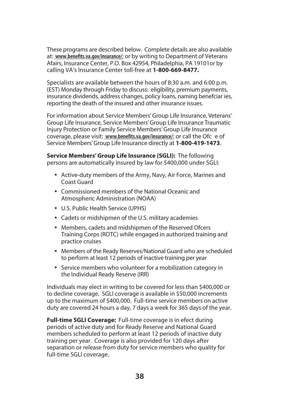These programs are described below. Complete details are also available at: **[www.benefts.va.gov/insurance](www.benefits.va.gov/insurance)/**; or by writing to Department of Veterans Afairs, Insurance Center, P.O. Box 42954, Philadelphia, PA 19101or by calling VA's Insurance Center toll-free at **1-800-669-8477.** 

Specialists are available between the hours of 8:30 a.m. and 6:00 p.m. (EST) Monday through Friday to discuss: eligibility, premium payments, insurance dividends, address changes, policy loans, naming benefciar ies, reporting the death of the insured and other insurance issues.

For information about Service Members' Group Life Insurance, Veterans' Group Life Insurance, Service Members' Group Life Insurance Traumatic Injury Protection or Family Service Members' Group Life Insurance coverage, please visit: **[www.benefts.va.gov/insurance](www.benefits.va.gov/insurance)/**; or call the Ofc e of Service Members' Group Life Insurance directly at **1-800-419-1473**.

**Service Members' Group Life Insurance (SGLI):** The following persons are automatically insured by law for \$400,000 under SGLI:

- Active-duty members of the Army, Navy, Air Force, Marines and Coast Guard
- Commissioned members of the National Oceanic and Atmospheric Administration (NOAA)
- U.S. Public Health Service (UPHS)
- Cadets or midshipmen of the U.S. military academies
- Members, cadets and midshipmen of the Reserved Ofcers Training Corps (ROTC) while engaged in authorized training and practice cruises
- Members of the Ready Reserves/National Guard who are scheduled to perform at least 12 periods of inactive training per year
- Service members who volunteer for a mobilization category in the Individual Ready Reserve (IRR)

Individuals may elect in writing to be covered for less than \$400,000 or to decline coverage. SGLI coverage is available in \$50,000 increments up to the maximum of \$400,000. Full-time service members on active duty are covered 24 hours a day, 7 days a week for 365 days of the year.

**Full-time SGLI Coverage:** Full-time coverage is in efect during periods of active duty and for Ready Reserve and National Guard members scheduled to perform at least 12 periods of inactive duty training per year. Coverage is also provided for 120 days after separation or release from duty for service members who quality for full-time SGLI coverage.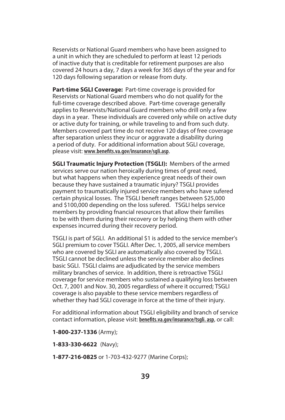Reservists or National Guard members who have been assigned to a unit in which they are scheduled to perform at least 12 periods of inactive duty that is creditable for retirement purposes are also covered 24 hours a day, 7 days a week for 365 days of the year and for 120 days following separation or release from duty.

 or active duty for training, or while traveling to and from such duty. **Part-time SGLI Coverage:** Part-time coverage is provided for Reservists or National Guard members who do not qualify for the full-time coverage described above. Part-time coverage generally applies to Reservists/National Guard members who drill only a few days in a year. These individuals are covered only while on active duty Members covered part time do not receive 120 days of free coverage after separation unless they incur or aggravate a disability during a period of duty. For additional information about SGLI coverage, please visit: **[www.benefts.va.gov/insurance/sgli.asp](www.benefits.va.gov/insurance/sgli.asp)**.

**SGLI Traumatic Injury Protection (TSGLI):** Members of the armed services serve our nation heroically during times of great need, but what happens when they experience great needs of their own because they have sustained a traumatic injury? TSGLI provides payment to traumatically injured service members who have sufered certain physical losses. The TSGLI beneft ranges between \$25,000 and \$100,000 depending on the loss sufered. TSGLI helps service members by providing fnancial resources that allow their families to be with them during their recovery or by helping them with other expenses incurred during their recovery period.

TSGLI is part of SGLI. An additional \$1 is added to the service member's SGLI premium to cover TSGLI. After Dec. 1, 2005, all service members who are covered by SGLI are automatically also covered by TSGLI. TSGLI cannot be declined unless the service member also declines basic SGLI. TSGLI claims are adjudicated by the service members military branches of service. In addition, there is retroactive TSGLI coverage for service members who sustained a qualifying loss between Oct. 7, 2001 and Nov. 30, 2005 regardless of where it occurred; TSGLI coverage is also payable to these service members regardless of whether they had SGLI coverage in force at the time of their injury.

For additional information about TSGLI eligibility and branch of service contact information, please visit: **[benefts.va.gov/insurance/tsgli](https://www.va.gov/life-insurance/options-eligibility/tsgli/). asp**, or call:

**1-800-237-1336** (Army);

**1-833-330-6622** (Navy);

**1-877-216-0825** or 1-703-432-9277 (Marine Corps);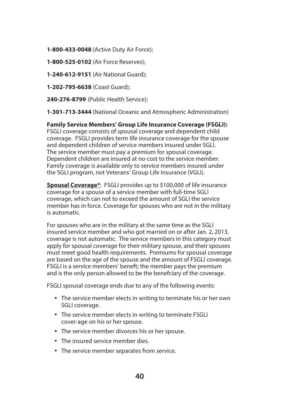**1-800-433-0048** (Active Duty Air Force);

**1-800-525-0102** (Air Force Reserves);

**1-240-612-9151** (Air National Guard);

**1-202-795-6638** (Coast Guard);

**240-276-8799** (Public Health Service);

**1-301-713-3444** (National Oceanic and Atmospheric Administration)

The service member must pay a premium for spousal coverage. Dependent children are insured at no cost to the service member. **Family Service Members' Group Life Insurance Coverage (FSGLI):**  FSGLI coverage consists of spousal coverage and dependent child coverage. FSGLI provides term life insurance coverage for the spouse and dependent children of service members insured under SGLI. Family coverage is available only to service members insured under the SGLI program, not Veterans' Group Life Insurance (VGLI).

**Spousal Coverage\***: FSGLI provides up to \$100,000 of life insurance coverage for a spouse of a service member with full-time SGLI coverage, which can not to exceed the amount of SGLI the service member has in force. Coverage for spouses who are not in the military is automatic.

For spouses who are in the military at the same time as the SGLI insured service member and who got married on or after Jan. 2, 2013, coverage is not automatic. The service members in this category must apply for spousal coverage for their military spouse, and their spouses must meet good health requirements. Premiums for spousal coverage are based on the age of the spouse and the amount of FSGLI coverage. FSGLI is a service members' beneft; the member pays the premium and is the only person allowed to be the benefciary of the coverage.

FSGLI spousal coverage ends due to any of the following events:

- The service member elects in writing to terminate his or her own SGLI coverage.
- The service member elects in writing to terminate FSGLI cover-age on his or her spouse.
- The service member divorces his or her spouse.
- The insured service member dies.
- The service member separates from service.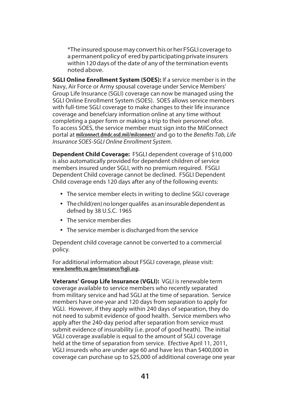\*The insured spouse may convert his or her FSGLI coverage to a permanent policy of ered by participating private insurers within 120 days of the date of any of the termination events noted above.

**SGLI Online Enrollment System (SOES):** If a service member is in the Navy, Air Force or Army spousal coverage under Service Members' Group Life Insurance (SGLI) coverage can now be managed using the SGLI Online Enrollment System (SOES). SOES allows service members with full-time SGLI coverage to make changes to their life insurance coverage and benefciary information online at any time without completing a paper form or making a trip to their personnel ofce. To access SOES, the service member must sign into the MilConnect portal at **[milconnect.dmdc.osd.mil/milconnect](https://milconnect.dmdc.osd.mil/milconnect)/** and go to the *Benefts Tab, Life Insurance SOES-SGLI Online Enrollment System*.

**Dependent Child Coverage:** FSGLI dependent coverage of \$10,000 is also automatically provided for dependent children of service members insured under SGLI, with no premium required. FSGLI Dependent Child coverage cannot be declined. FSGLI Dependent Child coverage ends 120 days after any of the following events:

- The service member elects in writing to decline SGLI coverage
- $\bullet$  The child(ren) no longer qualifes as an insurable dependent as defned by 38 U.S.C. 1965
- $\bullet$  The service member dies
- The service member is discharged from the service

Dependent child coverage cannot be converted to a commercial policy.

For additional information about FSGLI coverage, please visit: **[www.benefts.va.gov/insurance/fsgli.asp.](www.benefits.va.gov/insurance/fsgli.asp)** 

**Veterans' Group Life Insurance (VGLI):** VGLI is renewable term coverage available to service members who recently separated from military service and had SGLI at the time of separation. Service members have one-year and 120 days from separation to apply for VGLI. However, if they apply within 240 days of separation, they do not need to submit evidence of good health. Service members who apply after the 240-day period after separation from service must submit evidence of insurability (i.e. proof of good heath). The initial VGLI coverage available is equal to the amount of SGLI coverage held at the time of separation from service. Efective April 11, 2011, VGLI insureds who are under age 60 and have less than \$400,000 in coverage can purchase up to \$25,000 of additional coverage one year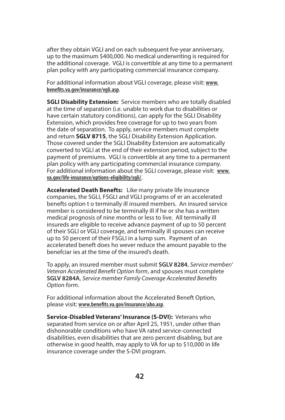after they obtain VGLI and on each subsequent fve-year anniversary, up to the maximum \$400,000. No medical underwriting is required for the additional coverage. VGLI is convertible at any time to a permanent plan policy with any participating commercial insurance company.

For additional information about VGLI coverage, please visit: **www. [benefts.va.gov/insurance/vgli.asp](https://benefits.va.gov/insurance/vgli.asp)**.

and return **SGLV 8715**, the SGLI Disability Extension Application. plan policy with any participating commercial insurance company. **SGLI Disability Extension:** Service members who are totally disabled at the time of separation (i.e. unable to work due to disabilities or have certain statutory conditions), can apply for the SGLI Disability Extension, which provides free coverage for up to two years from the date of separation. To apply, service members must complete Those covered under the SGLI Disability Extension are automatically converted to VGLI at the end of their extension period, subject to the payment of premiums. VGLI is convertible at any time to a permanent For additional information about the SGLI coverage, please visit: www. **[va.gov/life-insurance/options-eligibility/sgli](https://va.gov/life-insurance/options-eligibility/sgli)/.** 

**Accelerated Death Benefts:** Like many private life insurance companies, the SGLI, FSGLI and VGLI programs of er an accelerated benefts option t o terminally ill insured members. An insured service member is considered to be terminally ill if he or she has a written medical prognosis of nine months or less to live. All terminally ill insureds are eligible to receive advance payment of up to 50 percent of their SGLI or VGLI coverage, and terminally ill spouses can receive up to 50 percent of their FSGLI in a lump sum. Payment of an accelerated beneft does ho wever reduce the amount payable to the benefciar ies at the time of the insured's death.

To apply, an insured member must submit **SGLV 8284**, *Service member/ Veteran Accelerated Beneft Option form*, and spouses must complete **SGLV 8284A**, *Service member Family Coverage Accelerated Benefts Option form*.

For additional information about the Accelerated Beneft Option, please visit: **[www.benefts.va.gov/insurance/abo.asp](www.benefits.va.gov/insurance/abo.asp)**.

**Service-Disabled Veterans' Insurance (S-DVI):** Veterans who separated from service on or after April 25, 1951, under other than dishonorable conditions who have VA rated service-connected disabilities, even disabilities that are zero percent disabling, but are otherwise in good health, may apply to VA for up to \$10,000 in life insurance coverage under the S-DVI program.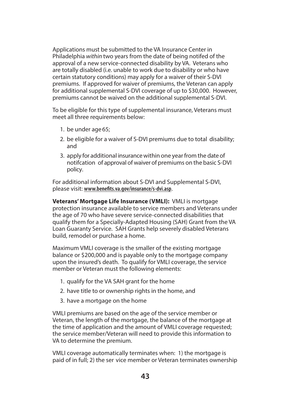Applications must be submitted to the VA Insurance Center in Philadelphia *within* two years from the date of being notifed of the approval of a new service-connected disability by VA. Veterans who are totally disabled (i.e. unable to work due to disability or who have certain statutory conditions) may apply for a waiver of their S-DVI premiums. If approved for waiver of premiums, the Veteran can apply for additional supplemental S-DVI coverage of up to \$30,000. However, premiums cannot be waived on the additional supplemental S-DVI.

To be eligible for this type of supplemental insurance, Veterans must meet all three requirements below:

- 1. be under age 65;
- 2. be eligible for a waiver of S-DVI premiums due to total disability; and
- 3. apply for additional insurance within one year from the date of notifcation of approval of waiver of premiums on the basic S-DVI policy.

For additional information about S-DVI and Supplemental S-DVI, please visit: **[www.benefts.va.gov/insurance/s-dvi.asp](www.benefits.va.gov/insurance/s-dvi.asp)**.

**Veterans' Mortgage Life Insurance (VMLI):** VMLI is mortgage protection insurance available to service members and Veterans under the age of 70 who have severe service-connected disabilities that qualify them for a Specially-Adapted Housing (SAH) Grant from the VA Loan Guaranty Service. SAH Grants help severely disabled Veterans build, remodel or purchase a home.

Maximum VMLI coverage is the smaller of the existing mortgage balance or \$200,000 and is payable only to the mortgage company upon the insured's death. To qualify for VMLI coverage, the service member or Veteran must the following elements:

- 1. qualify for the VA SAH grant for the home
- 2. have title to or ownership rights in the home, and
- 3. have a mortgage on the home

VMLI premiums are based on the age of the service member or Veteran, the length of the mortgage, the balance of the mortgage at the time of application and the amount of VMLI coverage requested; the service member/Veteran will need to provide this information to VA to determine the premium.

VMLI coverage automatically terminates when: 1) the mortgage is paid of in full; 2) the ser vice member or Veteran terminates ownership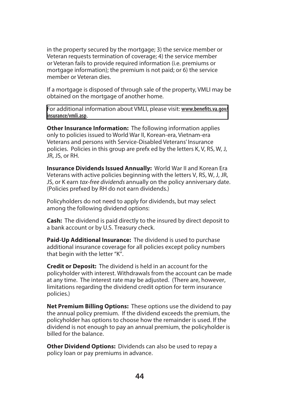in the property secured by the mortgage; 3) the service member or Veteran requests termination of coverage; 4) the service member or Veteran fails to provide required information (i.e. premiums or mortgage information); the premium is not paid; or 6) the service member or Veteran dies.

If a mortgage is disposed of through sale of the property, VMLI may be obtained on the mortgage of another home.

[For additional information about VMLI, please visit:](https://www.va.gov/life-insurance/options-eligibility/vmli/) **[www.benefts.va.gov](www.benefits.va.gov)/ insurance/vmli.asp**.

**Other Insurance Information:** The following information applies only to policies issued to World War II, Korean-era, Vietnam-era Veterans and persons with Service-Disabled Veterans' Insurance policies. Policies in this group are prefx ed by the letters K, V, RS, W, J, JR, JS, or RH.

 JS, or K earn *tax-free dividends* annually on the policy anniversary date. (Policies prefxed by RH do not earn dividends.) **Insurance Dividends Issued Annually:** World War II and Korean Era Veterans with active policies beginning with the letters V, RS, W, J, JR,

Policyholders do not need to apply for dividends, but may select among the following dividend options:

**Cash:** The dividend is paid directly to the insured by direct deposit to a bank account or by U.S. Treasury check.

**Paid-Up Additional Insurance:** The dividend is used to purchase additional insurance coverage for all policies except policy numbers that begin with the letter "K".

**Credit or Deposit:** The dividend is held in an account for the policyholder with interest. Withdrawals from the account can be made at any time. The interest rate may be adjusted. (There are, however, limitations regarding the dividend credit option for term insurance policies.)

**Net Premium Billing Options:** These options use the dividend to pay the annual policy premium. If the dividend exceeds the premium, the policyholder has options to choose how the remainder is used. If the dividend is not enough to pay an annual premium, the policyholder is billed for the balance.

**Other Dividend Options:** Dividends can also be used to repay a policy loan or pay premiums in advance.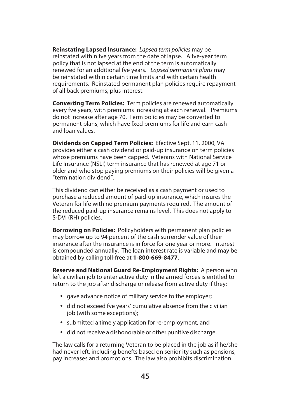**Reinstating Lapsed Insurance:** *Lapsed term policies* may be reinstated within fve years from the date of lapse. A fve-year term policy that is not lapsed at the end of the term is automatically renewed for an additional fve years. *Lapsed permanent plans* may be reinstated within certain time limits and with certain health requirements. Reinstated permanent plan policies require repayment of all back premiums, plus interest.

**Converting Term Policies:** Term policies are renewed automatically every fve years, with premiums increasing at each renewal. Premiums do not increase after age 70. Term policies may be converted to permanent plans, which have fxed premiums for life and earn cash and loan values.

**Dividends on Capped Term Policies:** Efective Sept. 11, 2000, VA provides either a cash dividend or paid-up insurance on term policies whose premiums have been capped. Veterans with National Service Life Insurance (NSLI) term insurance that has renewed at age 71 or older and who stop paying premiums on their policies will be given a "termination dividend".

This dividend can either be received as a cash payment or used to purchase a reduced amount of paid-up insurance, which insures the Veteran for life with no premium payments required. The amount of the reduced paid-up insurance remains level. This does not apply to S-DVI (RH) policies.

**Borrowing on Policies:** Policyholders with permanent plan policies may borrow up to 94 percent of the cash surrender value of their insurance after the insurance is in force for one year or more. Interest is compounded annually. The loan interest rate is variable and may be obtained by calling toll-free at **1-800-669-8477**.

**Reserve and National Guard Re-Employment Rights:** A person who left a civilian job to enter active duty in the armed forces is entitled to return to the job after discharge or release from active duty if they:

- gave advance notice of military service to the employer;
- did not exceed fve years' cumulative absence from the civilian job (with some exceptions);
- submitted a timely application for re-employment; and
- did not receive a dishonorable or other punitive discharge.

The law calls for a returning Veteran to be placed in the job as if he/she had never left, including benefts based on senior ity such as pensions, pay increases and promotions. The law also prohibits discrimination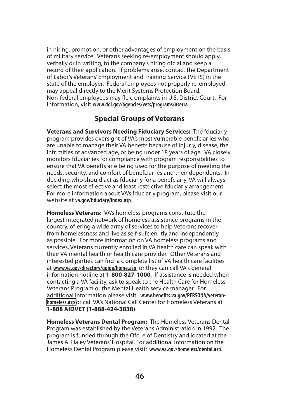may appeal directly to the Merit Systems Protection Board. in hiring, promotion, or other advantages of employment on the basis of military service. Veterans seeking re-employment should apply, verbally or in writing, to the company's hiring ofcial and keep a record of their application. If problems arise, contact the Department of Labor's Veterans' Employment and Training Service (VETS) in the state of the employer. Federal employees not properly re-employed Non-federal employees may fle c omplaints in U.S. District Court. For information, visit **<www.dol.gov/agencies/vets/programs/userra>**.

## **Special Groups of Veterans**

select the most ef ective and least restrictive fduciar y arrangement. **Veterans and Survivors Needing Fiduciary Services:** The fduciar y program provides oversight of VA's most vulnerable benefciar ies who are unable to manage their VA benefts because of injur y, disease, the infr mities of advanced age, or being under 18 years of age. VA closely monitors fduciar ies for compliance with program responsibilities to ensure that VA benefts ar e being used for the purpose of meeting the needs, security, and comfort of benefciar ies and their dependents. In deciding who should act as fduciar y for a benefciar y, VA will always For more information about VA's fduciar y program, please visit our website at **[va.gov/fduciary/index.asp](https://www.benefits.va.gov/fiduciary/)**.

**Homeless Veterans:** VA's homeless programs constitute the largest integrated network of homeless assistance programs in the country, of ering a wide array of services to help Veterans recover from homelessness and live as self-sufcien tly and independently as possible. For more information on VA homeless programs and services, Veterans currently enrolled in VA health care can speak with their VA mental health or health care provider. Other Veterans and interested parties can fnd a c omplete list of VA health care facilities at **<www.va.gov/directory/guide/home.asp>**, or they can call VA's general information hotline at **1-800-827-1000**. If assistance is needed when contacting a VA facility, ask to speak to the Health Care for Homeless Veterans Program or the Mental Health service manager. For additional information please visit: **[www.benefts.va.gov/PERSONA/veteran](https://www.benefits.va.gov/persona/veteran-homeless.asp)[homeless.asp](https://www.benefits.va.gov/persona/veteran-homeless.asp)** or call VA's National Call Center for Homeless Veterans at **1-888 AIDVET (1-888-424-3838)**.

**Homeless Veterans Dental Program:** The Homeless Veterans Dental Program was established by the Veterans Administration in 1992. The program is funded through the Ofc e of Dentistry and located at the James A. Haley Veterans' Hospital. For additional information on the Homeless Dental Program please visit: **<www.va.gov/homeless/dental.asp>**.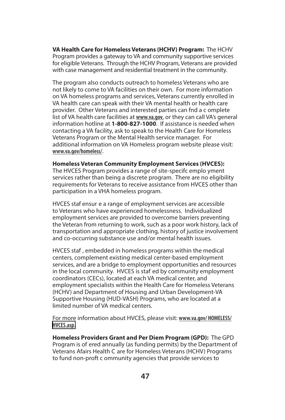**VA Health Care for Homeless Veterans (HCHV) Program:** The HCHV Program provides a gateway to VA and community supportive services for eligible Veterans. Through the HCHV Program, Veterans are provided with case management and residential treatment in the community.

The program also conducts outreach to homeless Veterans who are not likely to come to VA facilities on their own. For more information on VA homeless programs and services, Veterans currently enrolled in VA health care can speak with their VA mental health or health care provider. Other Veterans and interested parties can fnd a c omplete list of VA health care facilities at **<www.va.gov>**, or they can call VA's general information hotline at **1-800-827-1000**. If assistance is needed when contacting a VA facility, ask to speak to the Health Care for Homeless Veterans Program or the Mental Health service manager. For additional information on VA Homeless program website please visit: **[www.va.gov/homeless/](www.va.gov/homeless)**.

#### **Homeless Veteran Community Employment Services (HVCES):**

The HVCES Program provides a range of site-specifc emplo yment services rather than being a discrete program. There are no eligibility requirements for Veterans to receive assistance from HVCES other than participation in a VHA homeless program.

HVCES staf ensur e a range of employment services are accessible to Veterans who have experienced homelessness. Individualized employment services are provided to overcome barriers preventing the Veteran from returning to work, such as a poor work history, lack of transportation and appropriate clothing, history of justice involvement and co-occurring substance use and/or mental health issues.

HVCES staf , embedded in homeless programs within the medical centers, complement existing medical center-based employment services, and are a bridge to employment opportunities and resources in the local community. HVCES is staf ed by community employment coordinators (CECs), located at each VA medical center, and employment specialists within the Health Care for Homeless Veterans (HCHV) and Department of Housing and Urban Development-VA Supportive Housing (HUD-VASH) Programs, who are located at a limited number of VA medical centers.

For more information about HVCES, please visit: **[www.va.gov/](www.va.gov/HOMELESS/HVCES.asp) HOMELESS/ [HVCES.asp](www.va.gov/HOMELESS/HVCES.asp)**.

**Homeless Providers Grant and Per Diem Program (GPD):** The GPD Program is of ered annually (as funding permits) by the Department of Veterans Afairs Health C are for Homeless Veterans (HCHV) Programs to fund non-proft c ommunity agencies that provide services to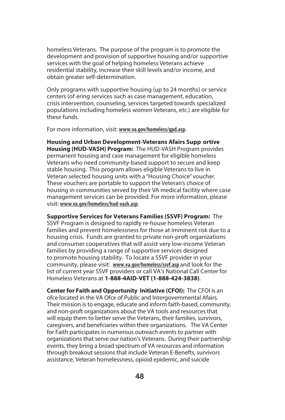homeless Veterans. The purpose of the program is to promote the development and provision of supportive housing and/or supportive services with the goal of helping homeless Veterans achieve residential stability, increase their skill levels and/or income, and obtain greater self-determination.

Only programs with supportive housing (up to 24 months) or service centers (of ering services such as case management, education, crisis intervention, counseling, services targeted towards specialized populations including homeless women Veterans, etc.) are eligible for these funds.

For more information, visit: **<www.va.gov/homeless/gpd.asp>**.

Veteran selected housing units with a "Housing Choice" voucher. **Housing and Urban Development-Veterans Afairs Supp ortive Housing (HUD-VASH) Program:** The HUD-VASH Program provides permanent housing and case management for eligible homeless Veterans who need community-based support to secure and keep stable housing. This program allows eligible Veterans to live in These vouchers are portable to support the Veteran's choice of housing in communities served by their VA medical facility where case management services can be provided. For more information, please visit: **<www.va.gov/homeless/hud-vash.asp>**.

**Supportive Services for Veterans Families (SSVF) Program:** The SSVF Program is designed to rapidly re-house homeless Veteran families and prevent homelessness for those at imminent risk due to a housing crisis. Funds are granted to private non-proft organizations and consumer cooperatives that will assist very low-income Veteran families by providing a range of supportive services designed to promote housing stability. To locate a SSVF provider in your community, please visit: **<www.va.gov/homeless/ssvf.asp>**and look for the list of current year SSVF providers or call VA's National Call Center for Homeless Veterans at **1-888-4AID-VET (1-888-424-3838)**.

**Center for Faith and Opportunity Initiative (CFOI):** The CFOI is an ofce located in the VA Ofce of Public and Intergovernmental Afairs. Their mission is to engage, educate and inform faith-based, community, and non-proft organizations about the VA tools and resources that will equip them to better serve the Veterans, their families, survivors, caregivers, and benefciaries within their organizations. The VA Center for Faith participates in numerous outreach events to partner with organizations that serve our nation's Veterans. During their partnership events, they bring a broad spectrum of VA resources and information through breakout sessions that include Veteran E-Benefts, survivors assistance, Veteran homelessness, opioid epidemic, and suicide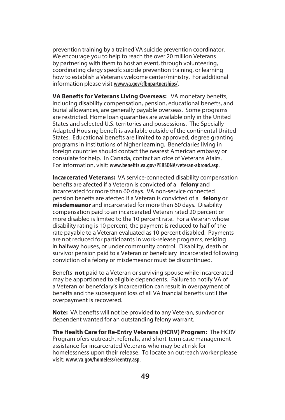prevention training by a trained VA suicide prevention coordinator. We encourage you to help to reach the over 20 million Veterans by partnering with them to host an event, through volunteering, coordinating clergy specifc suicide prevention training, or learning how to establish a Veterans welcome center/ministry. For additional information please visit **[www.va.gov/cfbnpartnerships/](www.va.gov/cfbnpartnerships)**.

**VA Benefts for Veterans Living Overseas:** VA monetary benefts, including disability compensation, pension, educational benefts, and burial allowances, are generally payable overseas. Some programs are restricted. Home loan guaranties are available only in the United States and selected U.S. territories and possessions. The Specially Adapted Housing beneft is available outside of the continental United States. Educational benefts are limited to approved, degree granting programs in institutions of higher learning. Benefciaries living in foreign countries should contact the nearest American embassy or consulate for help. In Canada, contact an ofce of Veterans Afairs. For information, visit: **[www.benefts.va.gov/PERSONA/veteran-abroad.asp](www.benefits.va.gov/PERSONA/veteran-abroad.asp)**.

**Incarcerated Veterans:** VA service-connected disability compensation benefts are afected if a Veteran is convicted of a **felony** and incarcerated for more than 60 days. VA non-service connected pension benefts are afected if a Veteran is convicted of a **felony** or **misdemeanor** and incarcerated for more than 60 days. Disability compensation paid to an incarcerated Veteran rated 20 percent or more disabled is limited to the 10 percent rate. For a Veteran whose disability rating is 10 percent, the payment is reduced to half of the rate payable to a Veteran evaluated as 10 percent disabled. Payments are not reduced for participants in work-release programs, residing in halfway houses, or under community control. Disability, death or survivor pension paid to a Veteran or benefciary incarcerated following conviction of a felony or misdemeanor must be discontinued.

Benefts **not** paid to a Veteran or surviving spouse while incarcerated may be apportioned to eligible dependents. Failure to notify VA of a Veteran or benefciary's incarceration can result in overpayment of benefts and the subsequent loss of all VA fnancial benefts until the overpayment is recovered.

**Note:** VA benefts will not be provided to any Veteran, survivor or dependent wanted for an outstanding felony warrant.

**The Health Care for Re-Entry Veterans (HCRV) Program:** The HCRV Program ofers outreach, referrals, and short-term case management assistance for incarcerated Veterans who may be at risk for homelessness upon their release. To locate an outreach worker please visit: **<www.va.gov/homeless/reentry.asp>**.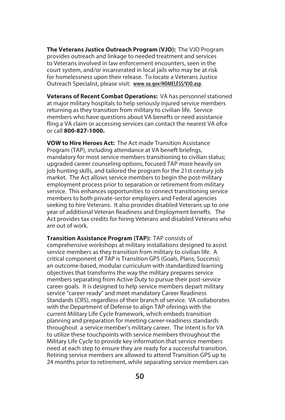**The Veterans Justice Outreach Program (VJO):** The VJO Program provides outreach and linkage to needed treatment and services to Veterans involved in law enforcement encounters, seen in the court system, and/or incarcerated in local jails who may be at risk for homelessness upon their release. To locate a Veterans Justice Outreach Specialist, please visit: **<www.va.gov/HOMELESS/VJO.asp>**.

**Veterans of Recent Combat Operations:** VA has personnel stationed at major military hospitals to help seriously injured service members returning as they transition from military to civilian life. Service members who have questions about VA benefts or need assistance fling a VA claim or accessing services can contact the nearest VA ofce or call **800-827-1000.** 

**VOW to Hire Heroes Act:** The Act made Transition Assistance Program (TAP), including attendance at VA beneft briefngs, mandatory for most service members transitioning to civilian status; upgraded career counseling options, focused TAP more heavily on job hunting skills, and tailored the program for the 21st century job market. The Act allows service members to begin the post-military employment process prior to separation or retirement from military service. This enhances opportunities to connect transitioning service members to both private-sector employers and Federal agencies seeking to hire Veterans. It also provides disabled Veterans up to one year of additional Veteran Readiness and Employment benefts. The Act provides tax credits for hiring Veterans and disabled Veterans who are out of work.

need at each step to ensure they are ready for a successful transition. **Transition Assistance Program (TAP):** TAP consists of comprehensive workshops at military installations designed to assist service members as they transition from military to civilian life. A critical component of TAP is Transition GPS (Goals, Plans, Success); an outcome-based, modular curriculum with standardized learning objectives that transforms the way the military prepares service members separating from Active Duty to pursue their post-service career goals. It is designed to help service members depart military service "career ready" and meet mandatory Career Readiness Standards (CRS), regardless of their branch of service. VA collaborates with the Department of Defense to align TAP oferings with the current Military Life Cycle framework, which embeds transition planning and preparation for meeting career-readiness standards throughout a service member's military career. The intent is for VA to utilize these touchpoints with service members throughout the Military Life Cycle to provide key information that service members Retiring service members are allowed to attend Transition GPS up to 24 months prior to retirement, while separating service members can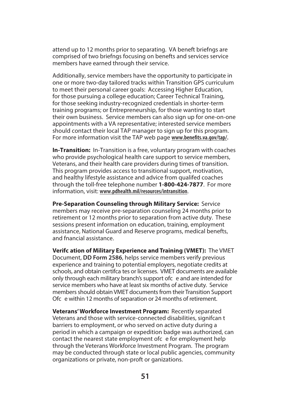attend up to 12 months prior to separating. VA beneft briefngs are comprised of two briefngs focusing on benefts and services service members have earned through their service.

should contact their local TAP manager to sign up for this program. Additionally, service members have the opportunity to participate in one or more two-day tailored tracks within Transition GPS curriculum to meet their personal career goals: Accessing Higher Education, for those pursuing a college education; Career Technical Training, for those seeking industry-recognized credentials in shorter-term training programs; or Entrepreneurship, for those wanting to start their own business. Service members can also sign up for one-on-one appointments with a VA representative; interested service members For more information visit the TAP web page www.benefits.va.gov/tap/.

Veterans, and their health care providers during times of transition. **In-Transition:** In-Transition is a free, voluntary program with coaches who provide psychological health care support to service members, This program provides access to transitional support, motivation, and healthy lifestyle assistance and advice from qualifed coaches through the toll-free telephone number **1-800-424-7877**. For more information, visit: **<www.pdhealth.mil/resources/intransition>**.

**Pre-Separation Counseling through Military Service:** Service members may receive pre-separation counseling 24 months prior to retirement or 12 months prior to separation from active duty. These sessions present information on education, training, employment assistance, National Guard and Reserve programs, medical benefts, and fnancial assistance.

**Verifc ation of Military Experience and Training (VMET):** The VMET Document, **DD Form 2586**, helps service members verify previous experience and training to potential employers, negotiate credits at schools, and obtain certifca tes or licenses. VMET documents are available only through each military branch's support ofc e and are intended for service members who have at least six months of active duty. Service members should obtain VMET documents from their Transition Support Ofc e within 12 months of separation or 24 months of retirement.

**Veterans'Workforce Investment Program:** Recently separated Veterans and those with service-connected disabilities, signifcan t barriers to employment, or who served on active duty during a period in which a campaign or expedition badge was authorized, can contact the nearest state employment ofc e for employment help through the Veterans Workforce Investment Program. The program may be conducted through state or local public agencies, community organizations or private, non-proft or ganizations.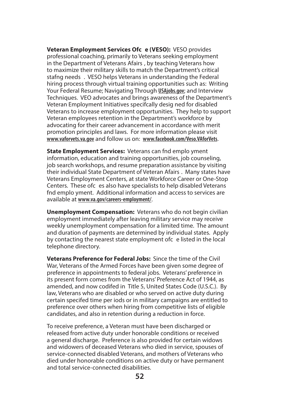promotion principles and laws. For more information please visit **Veteran Employment Services Ofc e (VESO):** VESO provides professional coaching, primarily to Veterans seeking employment in the Department of Veterans Afairs , by teaching Veterans how to maximize their military skills to match the Department's critical stafng needs . VESO helps Veterans in understanding the Federal hiring process through virtual training opportunities such as: Writing Your Federal Resume; Navigating Through **[USAjobs.gov](https://USAjobs.gov)**; and Interview Techniques. VEO advocates and brings awareness of the Department's Veteran Employment Initiatives specifcally desig ned for disabled Veterans to increase employment opportunities. They help to support Veteran employees retention in the Department's workforce by advocating for their career advancement in accordance with merit **<www.vaforvets.va.gov>** and follow us on: **<www.facebook.com/Veso.VAforVets>**.

**State Employment Services:** Veterans can fnd emplo yment information, education and training opportunities, job counseling, job search workshops, and resume preparation assistance by visiting their individual State Department of Veteran Afairs . Many states have Veterans Employment Centers, at state Workforce Career or One-Stop Centers. These ofc es also have specialists to help disabled Veterans fnd emplo yment. Additional information and access to services are available at **[www.va.gov/careers-employment/](www.va.gov/careers-employment)**.

**Unemployment Compensation:** Veterans who do not begin civilian employment immediately after leaving military service may receive weekly unemployment compensation for a limited time. The amount and duration of payments are determined by individual states. Apply by contacting the nearest state employment ofc e listed in the local telephone directory.

**Veterans Preference for Federal Jobs:** Since the time of the Civil War, Veterans of the Armed Forces have been given some degree of preference in appointments to federal jobs. Veterans' preference in its present form comes from the Veterans' Preference Act of 1944, as amended, and now codifed in Title 5, United States Code (U.S.C.). By law, Veterans who are disabled or who served on active duty during certain specifed time per iods or in military campaigns are entitled to preference over others when hiring from competitive lists of eligible candidates, and also in retention during a reduction in force.

To receive preference, a Veteran must have been discharged or released from active duty under honorable conditions or received a general discharge. Preference is also provided for certain widows and widowers of deceased Veterans who died in service, spouses of service-connected disabled Veterans, and mothers of Veterans who died under honorable conditions on active duty or have permanent and total service-connected disabilities.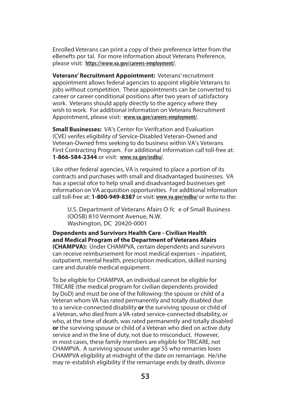Enrolled Veterans can print a copy of their preference letter from the eBenefts por tal. For more information about Veterans Preference, please visit: **<https://www.va.gov/careers-employment>/**.

**Veterans' Recruitment Appointment:** Veterans' recruitment appointment allows federal agencies to appoint eligible Veterans to jobs without competition. These appointments can be converted to career or career conditional positions after two years of satisfactory work. Veterans should apply directly to the agency where they wish to work. For additional information on Veterans Recruitment Appointment, please visit: **[www.va.gov/careers-employment/](www.va.gov/careers-employment)**.

**Small Businesses:** VA's Center for Verifcation and Evaluation (CVE) verifes eligibility of Service-Disabled Veteran-Owned and Veteran-Owned frms seeking to do business within VA's Veterans First Contracting Program. For additional information call toll-free at: **1-866-584-2344** or visit: **[www.va.gov/osdbu/](www.va.gov/osdbu)**.

Like other federal agencies, VA is required to place a portion of its contracts and purchases with small and disadvantaged businesses. VA has a special ofce to help small and disadvantaged businesses get information on VA acquisition opportunities. For additional information call toll-free at: **1-800-949-8387** or visit: **[www.va.gov/osdbu/](www.va.gov/osdbu)** or write to the:

U.S. Department of Veterans Afairs O fc e of Small Business (OOSB) 810 Vermont Avenue, N.W. Washington, DC 20420-0001

**Dependents and Survivors Health Care - Civilian Health and Medical Program of the Department of Veterans Afairs (CHAMPVA):** Under CHAMPVA, certain dependents and survivors can receive reimbursement for most medical expenses – inpatient, outpatient, mental health, prescription medication, skilled nursing care and durable medical equipment.

To be eligible for CHAMPVA, an individual cannot be eligible for TRICARE (the medical program for civilian dependents provided by DoD) and must be one of the following: the spouse or child of a Veteran whom VA has rated permanently and totally disabled due to a service-connected disability **or** the surviving spouse or child of a Veteran, who died from a VA-rated service-connected disability, or who, at the time of death, was rated permanently and totally disabled **or** the surviving spouse or child of a Veteran who died on active duty service and in the line of duty, not due to misconduct. However, in most cases, these family members are eligible for TRICARE, not CHAMPVA. A surviving spouse under age 55 who remarries loses CHAMPVA eligibility at midnight of the date on remarriage. He/she may re-establish eligibility if the remarriage ends by death, divorce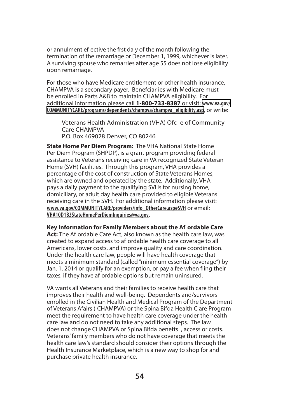or annulment ef ective the frst da y of the month following the termination of the remarriage or December 1, 1999, whichever is later. A surviving spouse who remarries after age 55 does not lose eligibility upon remarriage.

For those who have Medicare entitlement or other health insurance, CHAMPVA is a secondary payer. Benefciar ies with Medicare must be enrolled in Parts A&B to maintain CHAMPVA eligibility. For additional information please call **1-800-733-8387** or visit: **[www.va.gov/](https://www.va.gov/COMMUNITYCARE/programs/dependents/champva/champva_eligibility.asp)  [COMMUNITYCARE/programs/dependents/champva/champva\\_eligibility.asp](https://www.va.gov/COMMUNITYCARE/programs/dependents/champva/champva_eligibility.asp)**, or write:

Veterans Health Administration (VHA) Ofc e of Community Care CHAMPVA P.O. Box 469028 Denver, CO 80246

**State Home Per Diem Program:** The VHA National State Home Per Diem Program (SHPDP), is a grant program providing federal assistance to Veterans receiving care in VA recognized State Veteran Home (SVH) facilities. Through this program, VHA provides a percentage of the cost of construction of State Veterans Homes, which are owned and operated by the state. Additionally, VHA pays a daily payment to the qualifying SVHs for nursing home, domiciliary, or adult day health care provided to eligible Veterans receiving care in the SVH. For additional information please visit: **[www.va.gov/COMMUNITYCARE/providers/info\\_OtherCare.asp#SVH](www.va.gov/COMMUNITYCARE/providers/info_OtherCare.asp#SVH)** or email: **[VHA10D1B3StateHomePerDiemInquiries@va.gov](mailto:VHA10D1B3StateHomePerDiemInquiries@va.gov)**.

#### **Key Information for Family Members about the Af ordable Care**

Americans, lower costs, and improve quality and care coordination.<br>Under the health care law, people will have health coverage that **Act:** The Af ordable Care Act, also known as the health care law, was created to expand access to af ordable health care coverage to all meets a minimum standard (called "minimum essential coverage") by Jan. 1, 2014 or qualify for an exemption, or pay a fee when fling their taxes, if they have af ordable options but remain uninsured.

VA wants all Veterans and their families to receive health care that improves their health and well-being. Dependents and/survivors enrolled in the Civilian Health and Medical Program of the Department of Veterans Afairs ( CHAMPVA) or the Spina Bifda Health C are Program meet the requirement to have health care coverage under the health care law and do not need to take any additional steps. The law does not change CHAMPVA or Spina Bifda benefts , access or costs. Veterans' family members who do not have coverage that meets the health care law's standard should consider their options through the Health Insurance Marketplace, which is a new way to shop for and purchase private health insurance.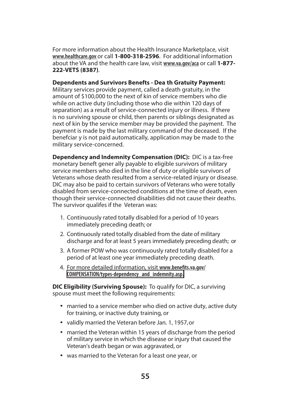For more information about the Health Insurance Marketplace, visit **<www.healthcare.gov>** or call **1-800-318-2596**. For additional information about the VA and the health care law, visit **[www.va.gov/aca](https://www.va.gov/health/aca/)** or call **1-877- 222-VETS (8387)**.

#### **Dependents and Survivors Benefts - Dea th Gratuity Payment:**

Military services provide payment, called a death gratuity, in the amount of \$100,000 to the next of kin of service members who die while on active duty (including those who die within 120 days of separation) as a result of service-connected injury or illness. If there is no surviving spouse or child, then parents or siblings designated as next of kin by the service member may be provided the payment. The payment is made by the last military command of the deceased. If the benefciar y is not paid automatically, application may be made to the military service-concerned.

Veterans whose death resulted from a service-related injury or disease. **Dependency and Indemnity Compensation (DIC):** DIC is a tax-free monetary beneft gener ally payable to eligible survivors of military service members who died in the line of duty or eligible survivors of DIC may also be paid to certain survivors of Veterans who were totally disabled from service-connected conditions at the time of death, even though their service-connected disabilities did not cause their deaths. The survivor qualifes if the Veteran was:

- 1. Continuously rated totally disabled for a period of 10 years immediately preceding death; or
- 2. Continuously rated totally disabled from the date of military discharge and for at least 5 years immediately preceding death; or
- 3. A former POW who was continuously rated totally disabled for a period of at least one year immediately preceding death.
- 4. For more detailed information, visit **[www.benefts.va.gov](https://www.va.gov/disability/dependency-indemnity-compensation/)/ [COMPENSATION/types-dependency\\_and\\_indemnity.asp](https://www.va.gov/disability/dependency-indemnity-compensation/)**.

**DIC Eligibility (Surviving Spouse):** To qualify for DIC, a surviving spouse must meet the following requirements:

- married to a service member who died on active duty, active duty for training, or inactive duty training, or
- validly married the Veteran before Jan. 1, 1957, or
- married the Veteran within 15 years of discharge from the period of military service in which the disease or injury that caused the Veteran's death began or was aggravated, or
- was married to the Veteran for a least one year, or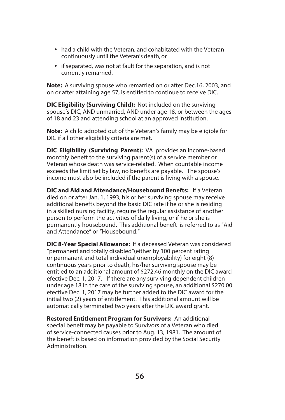- had a child with the Veteran, and cohabitated with the Veteran continuously until the Veteran's death, or
- if separated, was not at fault for the separation, and is not currently remarried.

**Note:** A surviving spouse who remarried on or after Dec.16, 2003, and on or after attaining age 57, is entitled to continue to receive DIC.

**DIC Eligibility (Surviving Child):** Not included on the surviving spouse's DIC, AND unmarried, AND under age 18, or between the ages of 18 and 23 and attending school at an approved institution.

**Note:** A child adopted out of the Veteran's family may be eligible for DIC if all other eligibility criteria are met.

**DIC Eligibility (Surviving Parent):** VA provides an income-based monthly beneft to the surviving parent(s) of a service member or Veteran whose death was service-related. When countable income exceeds the limit set by law, no benefts are payable. The spouse's income must also be included if the parent is living with a spouse.

**DIC and Aid and Attendance/Housebound Benefts:** If a Veteran died on or after Jan. 1, 1993, his or her surviving spouse may receive additional benefts beyond the basic DIC rate if he or she is residing in a skilled nursing facility, require the regular assistance of another person to perform the activities of daily living, or if he or she is permanently housebound. This additional beneft is referred to as "Aid and Attendance" or "Housebound."

**DIC 8-Year Special Allowance:** If a deceased Veteran was considered "permanent and totally disabled"(either by 100 percent rating or permanent and total individual unemployability) for eight (8) continuous years prior to death, his/her surviving spouse may be entitled to an additional amount of \$272.46 monthly on the DIC award efective Dec. 1, 2017. If there are any surviving dependent children under age 18 in the care of the surviving spouse, an additional \$270.00 efective Dec. 1, 2017 may be further added to the DIC award for the initial two (2) years of entitlement. This additional amount will be automatically terminated two years after the DIC award grant.

**Restored Entitlement Program for Survivors:** An additional special beneft may be payable to Survivors of a Veteran who died of service-connected causes prior to Aug. 13, 1981. The amount of the beneft is based on information provided by the Social Security Administration.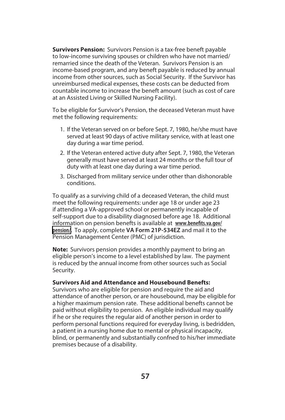**Survivors Pension:** Survivors Pension is a tax-free beneft payable to low-income surviving spouses or children who have not married/ remarried since the death of the Veteran. Survivors Pension is an income-based program, and any beneft payable is reduced by annual income from other sources, such as Social Security. If the Survivor has unreimbursed medical expenses, these costs can be deducted from countable income to increase the beneft amount (such as cost of care at an Assisted Living or Skilled Nursing Facility).

To be eligible for Survivor's Pension, the deceased Veteran must have met the following requirements:

- 1. If the Veteran served on or before Sept. 7, 1980, he/she must have served at least 90 days of active military service, with at least one day during a war time period.
- 2. If the Veteran entered active duty after Sept. 7, 1980, the Veteran generally must have served at least 24 months or the full tour of duty with at least one day during a war time period.
- 3. Discharged from military service under other than dishonorable conditions.

To qualify as a surviving child of a deceased Veteran, the child must meet the following requirements: under age 18 or under age 23 if attending a VA-approved school or permanently incapable of self-support due to a disability diagnosed before age 18. Additional information on pension benefts is available at **[www.benefts.va.gov/](www.benefits.va.gov/pension) [pension/](www.benefits.va.gov/pension)**. To apply, complete **VA Form 21P-534EZ** and mail it to the Pension Management Center (PMC) of jurisdiction.

**Note:** Survivors pension provides a monthly payment to bring an eligible person's income to a level established by law. The payment is reduced by the annual income from other sources such as Social Security.

## **Survivors Aid and Attendance and Housebound Benefts:**

Survivors who are eligible for pension and require the aid and attendance of another person, or are housebound, may be eligible for a higher maximum pension rate. These additional benefts cannot be paid without eligibility to pension. An eligible individual may qualify if he or she requires the regular aid of another person in order to perform personal functions required for everyday living, is bedridden, a patient in a nursing home due to mental or physical incapacity, blind, or permanently and substantially confned to his/her immediate premises because of a disability.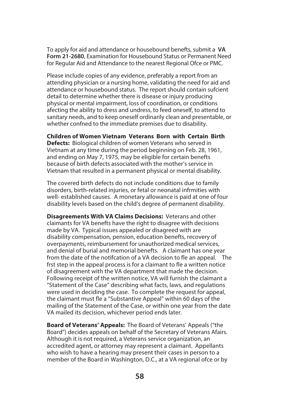To apply for aid and attendance or housebound benefts, submit a **VA Form 21-2680**, Examination for Housebound Status or Permanent Need for Regular Aid and Attendance to the nearest Regional Ofce or PMC.

Please include copies of any evidence, preferably a report from an attending physician or a nursing home, validating the need for aid and attendance or housebound status. The report should contain sufcient detail to determine whether there is disease or injury producing physical or mental impairment, loss of coordination, or conditions afecting the ability to dress and undress, to feed oneself, to attend to sanitary needs, and to keep oneself ordinarily clean and presentable, or whether confned to the immediate premises due to disability.

**Children of Women Vietnam Veterans Born with Certain Birth Defects:** Biological children of women Veterans who served in Vietnam at any time during the period beginning on Feb. 28, 1961, and ending on May 7, 1975, may be eligible for certain benefts because of birth defects associated with the mother's service in Vietnam that resulted in a permanent physical or mental disability.

The covered birth defects do not include conditions due to family disorders, birth-related injuries, or fetal or neonatal infrmities with well- established causes. A monetary allowance is paid at one of four disability levels based on the child's degree of permanent disability.

of disagreement with the VA department that made the decision. **Disagreements With VA Claims Decisions:** Veterans and other claimants for VA benefts have the right to disagree with decisions made by VA. Typical issues appealed or disagreed with are disability compensation, pension, education benefts, recovery of overpayments, reimbursement for unauthorized medical services, and denial of burial and memorial benefts. A claimant has one year from the date of the notifcation of a VA decision to fle an appeal. The frst step in the appeal process is for a claimant to fle a written notice Following receipt of the written notice. VA will furnish the claimant a "Statement of the Case" describing what facts, laws, and regulations were used in deciding the case. To complete the request for appeal, the claimant must fle a "Substantive Appeal" within 60 days of the mailing of the Statement of the Case, or within one year from the date VA mailed its decision, whichever period ends later.

**Board of Veterans' Appeals:** The Board of Veterans' Appeals ("the Board") decides appeals on behalf of the Secretary of Veterans Afairs. Although it is not required, a Veterans service organization, an accredited agent, or attorney may represent a claimant. Appellants who wish to have a hearing may present their cases in person to a member of the Board in Washington, D.C., at a VA regional ofce or by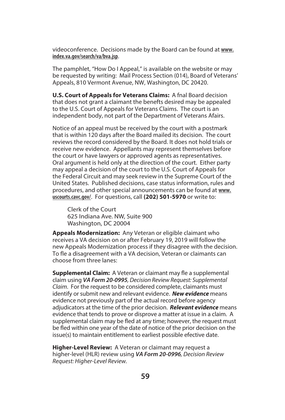videoconference. Decisions made by the Board can be found at **www. [index.va.gov/search/va/bva.jsp](https://index.va.gov/search/va/bva.jsp)**.

The pamphlet, "How Do I Appeal," is available on the website or may be requested by writing: Mail Process Section (014), Board of Veterans' Appeals, 810 Vermont Avenue, NW, Washington, DC 20420.

**U.S. Court of Appeals for Veterans Claims:** A fnal Board decision that does not grant a claimant the benefts desired may be appealed to the U.S. Court of Appeals for Veterans Claims. The court is an independent body, not part of the Department of Veterans Afairs.

Notice of an appeal must be received by the court with a postmark that is within 120 days after the Board mailed its decision. The court reviews the record considered by the Board. It does not hold trials or receive new evidence. Appellants may represent themselves before the court or have lawyers or approved agents as representatives. Oral argument is held only at the direction of the court. Either party may appeal a decision of the court to the U.S. Court of Appeals for the Federal Circuit and may seek review in the Supreme Court of the United States. Published decisions, case status information, rules and procedures, and other special announcements can be found at **www. [uscourts.cavc.gov/](https://uscourts.cavc.gov)**. For questions, call **(202) 501-5970** or write to:

Clerk of the Court 625 Indiana Ave. NW, Suite 900 Washington, DC 20004

new Appeals Modernization process if they disagree with the decision.<br>To fle a disagreement with a VA decision, Veteran or claimants can **Appeals Modernization:** Any Veteran or eligible claimant who receives a VA decision on or after February 19, 2019 will follow the choose from three lanes:

**Supplemental Claim:** A Veteran or claimant may fle a supplemental claim using *VA Form 20-0995, Decision Review Request: Supplemental Claim*. For the request to be considered complete, claimants must identify or submit new and relevant evidence. *New evidence* means evidence not previously part of the actual record before agency adjudicators at the time of the prior decision. *Relevant evidence* means evidence that tends to prove or disprove a matter at issue in a claim. A supplemental claim may be fled at any time; however, the request must be fled within one year of the date of notice of the prior decision on the issue(s) to maintain entitlement to earliest possible efective date.

**Higher-Level Review:** A Veteran or claimant may request a higher-level (HLR) review using *VA Form 20-0996, Decision Review Request: Higher-Level Review.*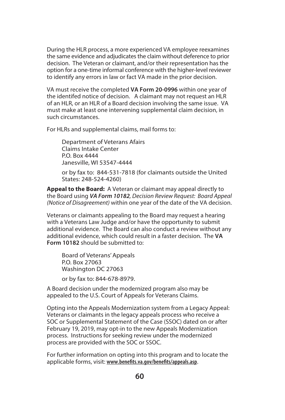During the HLR process, a more experienced VA employee reexamines the same evidence and adjudicates the claim without deference to prior decision. The Veteran or claimant, and/or their representation has the option for a one-time informal conference with the higher-level reviewer to identify any errors in law or fact VA made in the prior decision.

VA must receive the completed **VA Form 20-0996** within one year of the identifed notice of decision. A claimant may not request an HLR of an HLR, or an HLR of a Board decision involving the same issue. VA must make at least one intervening supplemental claim decision, in such circumstances.

For HLRs and supplemental claims, mail forms to:

Department of Veterans Afairs Claims Intake Center P.O. Box 4444 Janesville, WI 53547-4444

or by fax to: 844-531-7818 (for claimants outside the United States: 248-524-4260)

**Appeal to the Board:** A Veteran or claimant may appeal directly to the Board using *VA Form 10182, Decision Review Request: Board Appeal (Notice of Disagreement)* within one year of the date of the VA decision.

Veterans or claimants appealing to the Board may request a hearing with a Veterans Law Judge and/or have the opportunity to submit additional evidence. The Board can also conduct a review without any additional evidence, which could result in a faster decision. The **VA Form 10182** should be submitted to:

Board of Veterans' Appeals P.O. Box 27063 Washington DC 27063

or by fax to: 844-678-8979.

A Board decision under the modernized program also may be appealed to the U.S. Court of Appeals for Veterans Claims.

Opting into the Appeals Modernization system from a Legacy Appeal: Veterans or claimants in the legacy appeals process who receive a SOC or Supplemental Statement of the Case (SSOC) dated on or after February 19, 2019, may opt-in to the new Appeals Modernization process. Instructions for seeking review under the modernized process are provided with the SOC or SSOC.

For further information on opting into this program and to locate the applicable forms, visit: **[www.benefts.va.gov/benefts/appeals.asp](www.benefits.va.gov/benefits/appeals.asp)**.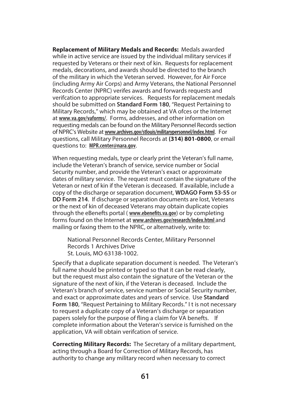**Replacement of Military Medals and Records:** Medals awarded while in active service are issued by the individual military services if requested by Veterans or their next of kin. Requests for replacement medals, decorations, and awards should be directed to the branch of the military in which the Veteran served. However, for Air Force (including Army Air Corps) and Army Veterans, the National Personnel Records Center (NPRC) verifes awards and forwards requests and verifcation to appropriate services. Requests for replacement medals should be submitted on **Standard Form 180**, "Request Pertaining to Military Records," which may be obtained at VA ofces or the Internet at **[www.va.gov/vaforms/](www.va.gov/vaforms)**. Forms, addresses, and other information on requesting medals can be found on the Military Personnel Records section of NPRC's Website at **[www.archives.gov/stlouis/militarypersonnel/index.html](https://www.archives.gov/personnel-records-center/military-personnel)**. For questions, call Military Personnel Records at **(314) 801-0800**, or email questions to: **[MPR.center@nara.gov](mailto:MPR.center@nara.gov)**.

When requesting medals, type or clearly print the Veteran's full name, include the Veteran's branch of service, service number or Social Security number, and provide the Veteran's exact or approximate dates of military service. The request must contain the signature of the Veteran or next of kin if the Veteran is deceased. If available, include a copy of the discharge or separation document, **WDAGO Form 53-55** or **DD Form 214**. If discharge or separation documents are lost, Veterans or the next of kin of deceased Veterans may obtain duplicate copies through the eBenefts portal ( **[www.ebenefts.va.gov](www.ebenefits.va.gov)**) or by completing forms found on the Internet at **<www.archives.gov/research/index.html>** and mailing or faxing them to the NPRC, or alternatively, write to:

National Personnel Records Center, Military Personnel Records 1 Archives Drive St. Louis, MO 63138-1002.

Specify that a duplicate separation document is needed. The Veteran's full name should be printed or typed so that it can be read clearly, but the request must also contain the signature of the Veteran or the signature of the next of kin, if the Veteran is deceased. Include the Veteran's branch of service, service number or Social Security number, and exact or approximate dates and years of service. Use **Standard Form 180**, "Request Pertaining to Military Records." I t is not necessary to request a duplicate copy of a Veteran's discharge or separation papers solely for the purpose of fling a claim for VA benefts. If complete information about the Veteran's service is furnished on the application, VA will obtain verifcation of service.

**Correcting Military Records:** The Secretary of a military department, acting through a Board for Correction of Military Records, has authority to change any military record when necessary to correct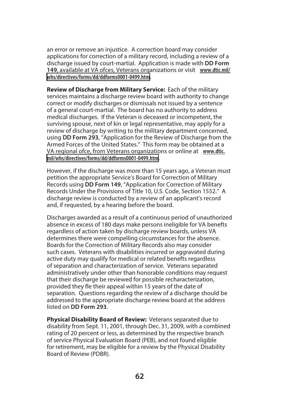an error or remove an injustice. A correction board may consider applications for correction of a military record, including a review of a discharge issued by court-martial. Application is made with **DD Form 149**, available at VA ofces, Veterans organizations or visit **[www.dtic.mil/](https://www.esd.whs.mil/Directives/forms/dd0001_0499/) [whs/directives/forms/dd/ddforms0001-0499.htm](https://www.esd.whs.mil/Directives/forms/dd0001_0499/)**.

**Review of Discharge from Military Service:** Each of the military services maintains a discharge review board with authority to change correct or modify discharges or dismissals not issued by a sentence of a general court-martial. The board has no authority to address medical discharges. If the Veteran is deceased or incompetent, the surviving spouse, next of kin or legal representative, may apply for a review of discharge by writing to the military department concerned, using **DD Form 293**, "Application for the Review of Discharge from the Armed Forces of the United States." This form may be obtained at a VA regional ofce, from Veterans organizations or online at **[www.dtic.](https://www.esd.whs.mil/Directives/forms/dd0001_0499/) [mil/whs/directives/forms/dd/ddforms0001-0499.htm](https://www.esd.whs.mil/Directives/forms/dd0001_0499/)**.

However, if the discharge was more than 15 years ago, a Veteran must petition the appropriate Service's Board for Correction of Military Records using **DD Form 149**, "Application for Correction of Military Records Under the Provisions of Title 10, U.S. Code, Section 1552." A discharge review is conducted by a review of an applicant's record and, if requested, by a hearing before the board.

determines there were compelling circumstances for the absence. Discharges awarded as a result of a continuous period of unauthorized absence in excess of 180 days make persons ineligible for VA benefts regardless of action taken by discharge review boards, unless VA Boards for the Correction of Military Records also may consider such cases. Veterans with disabilities incurred or aggravated during active duty may qualify for medical or related benefts regardless of separation and characterization of service. Veterans separated administratively under other than honorable conditions may request that their discharge be reviewed for possible recharacterization, provided they fle their appeal within 15 years of the date of separation. Questions regarding the review of a discharge should be addressed to the appropriate discharge review board at the address listed on **DD Form 293**.

**Physical Disability Board of Review:** Veterans separated due to disability from Sept. 11, 2001, through Dec. 31, 2009, with a combined rating of 20 percent or less, as determined by the respective branch of service Physical Evaluation Board (PEB), and not found eligible for retirement, may be eligible for a review by the Physical Disability Board of Review (PDBR).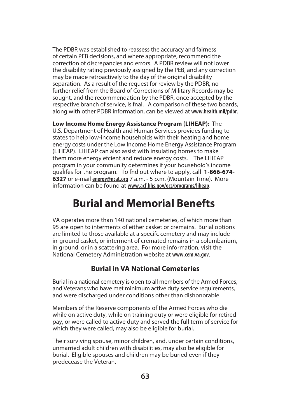The PDBR was established to reassess the accuracy and fairness of certain PEB decisions, and where appropriate, recommend the correction of discrepancies and errors. A PDBR review will not lower the disability rating previously assigned by the PEB, and any correction may be made retroactively to the day of the original disability separation. As a result of the request for review by the PDBR, no further relief from the Board of Corrections of Military Records may be sought, and the recommendation by the PDBR, once accepted by the respective branch of service, is fnal. A comparison of these two boards, along with other PDBR information, can be viewed at **<www.health.mil/pdbr>**.

**Low Income Home Energy Assistance Program (LIHEAP):** The U.S. Department of Health and Human Services provides funding to states to help low-income households with their heating and home energy costs under the Low Income Home Energy Assistance Program (LIHEAP). LIHEAP can also assist with insulating homes to make them more energy efcient and reduce energy costs. The LIHEAP program in your community determines if your household's income qualifes for the program. To fnd out where to apply, call **1-866-674- 6327** or e-mail **[energy@ncat.org](mailto:energy@ncat.org)** 7 a.m. - 5 p.m. (Mountain Time). More information can be found at **<www.acf.hhs.gov/ocs/programs/liheap>**.

# **Burial and Memorial Benefts**

VA operates more than 140 national cemeteries, of which more than 95 are open to interments of either casket or cremains. Burial options are limited to those available at a specifc cemetery and may include in-ground casket, or interment of cremated remains in a columbarium, in ground, or in a scattering area. For more information, visit the National Cemetery Administration website at **<www.cem.va.gov>**.

# **Burial in VA National Cemeteries**

Burial in a national cemetery is open to all members of the Armed Forces, and Veterans who have met minimum active duty service requirements, and were discharged under conditions other than dishonorable.

Members of the Reserve components of the Armed Forces who die while on active duty, while on training duty or were eligible for retired pay, or were called to active duty and served the full term of service for which they were called, may also be eligible for burial.

Their surviving spouse, minor children, and, under certain conditions, unmarried adult children with disabilities, may also be eligible for burial. Eligible spouses and children may be buried even if they predecease the Veteran.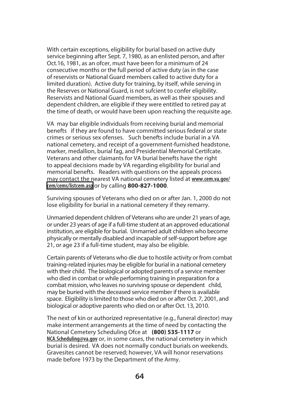With certain exceptions, eligibility for burial based on active duty service beginning after Sept. 7, 1980, as an enlisted person, and after Oct.16, 1981, as an ofcer, must have been for a minimum of 24 consecutive months or the full period of active duty (as in the case of reservists or National Guard members called to active duty for a limited duration). Active duty for training, by itself, while serving in the Reserves or National Guard, is not sufcient to confer eligibility. Reservists and National Guard members, as well as their spouses and dependent children, are eligible if they were entitled to retired pay at the time of death, or would have been upon reaching the requisite age.

VA may bar eligible individuals from receiving burial and memorial benefts if they are found to have committed serious federal or state crimes or serious sex ofenses. Such benefts include burial in a VA national cemetery, and receipt of a government-furnished headstone, marker, medallion, burial fag, and Presidential Memorial Certifcate. Veterans and other claimants for VA burial benefts have the right to appeal decisions made by VA regarding eligibility for burial and memorial benefts. Readers with questions on the appeals process may contact the nearest VA national cemetery listed at **[www.cem.va.gov](https://www.cem.va.gov/cem/cems/listcem.asp)/ [cem/cems/listcem.asp](https://www.cem.va.gov/cem/cems/listcem.asp)** or by calling **800-827-1000**.

Surviving spouses of Veterans who died on or after Jan. 1, 2000 do not lose eligibility for burial in a national cemetery if they remarry.

Unmarried dependent children of Veterans who are under 21 years of age, or under 23 years of age if a full-time student at an approved educational institution, are eligible for burial. Unmarried adult children who become physically or mentally disabled and incapable of self-support before age 21, or age 23 if a full-time student, may also be eligible.

Certain parents of Veterans who die due to hostile activity or from combat training-related injuries may be eligible for burial in a national cemetery with their child. The biological or adopted parents of a service member who died in combat or while performing training in preparation for a combat mission, who leaves no surviving spouse or dependent child, may be buried with the deceased service member if there is available space. Eligibility is limited to those who died on or after Oct. 7, 2001, and biological or adoptive parents who died on or after Oct. 13, 2010.

The next of kin or authorized representative (e.g., funeral director) may make interment arrangements at the time of need by contacting the National Cemetery Scheduling Ofce at **(800) 535-1117** or **[NCA.Scheduling@va.gov](mailto:NCA.Scheduling@va.gov)** or, in some cases, the national cemetery in which burial is desired. VA does not normally conduct burials on weekends. Gravesites cannot be reserved; however, VA will honor reservations made before 1973 by the Department of the Army.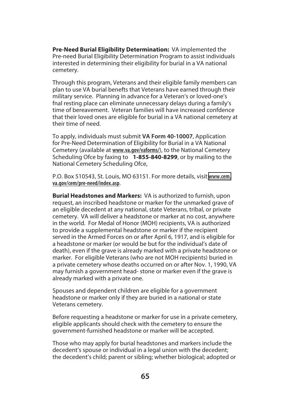**Pre-Need Burial Eligibility Determination:** VA implemented the Pre-need Burial Eligibility Determination Program to assist individuals interested in determining their eligibility for burial in a VA national cemetery.

Through this program, Veterans and their eligible family members can plan to use VA burial benefts that Veterans have earned through their military service. Planning in advance for a Veteran's or loved-one's fnal resting place can eliminate unnecessary delays during a family's time of bereavement. Veteran families will have increased confdence that their loved ones are eligible for burial in a VA national cemetery at their time of need.

To apply, individuals must submit **VA Form 40-10007**, Application for Pre-Need Determination of Eligibility for Burial in a VA National Cemetery (available at **<www.va.gov/vaforms>/**), to the National Cemetery Scheduling Ofce by faxing to **1-855-840-8299**, or by mailing to the National Cemetery Scheduling Ofce,

P.O. Box 510543, St. Louis, MO 63151. For more details, visit **[www.cem.](https://www.va.gov/burials-memorials/pre-need-eligibility/)  [va.gov/cem/pre-need/index.asp](https://www.va.gov/burials-memorials/pre-need-eligibility/)**.

**Burial Headstones and Markers:** VA is authorized to furnish, upon request, an inscribed headstone or marker for the unmarked grave of an eligible decedent at any national, state Veterans, tribal, or private cemetery. VA will deliver a headstone or marker at no cost, anywhere in the world. For Medal of Honor (MOH) recipients, VA is authorized to provide a supplemental headstone or marker if the recipient served in the Armed Forces on or after April 6, 1917, and is eligible for a headstone or marker (or would be but for the individual's date of death), even if the grave is already marked with a private headstone or marker. For eligible Veterans (who are not MOH recipients) buried in a private cemetery whose deaths occurred on or after Nov. 1, 1990, VA may furnish a government head- stone or marker even if the grave is already marked with a private one.

Spouses and dependent children are eligible for a government headstone or marker only if they are buried in a national or state Veterans cemetery.

Before requesting a headstone or marker for use in a private cemetery, eligible applicants should check with the cemetery to ensure the government-furnished headstone or marker will be accepted.

Those who may apply for burial headstones and markers include the decedent's spouse or individual in a legal union with the decedent; the decedent's child; parent or sibling; whether biological; adopted or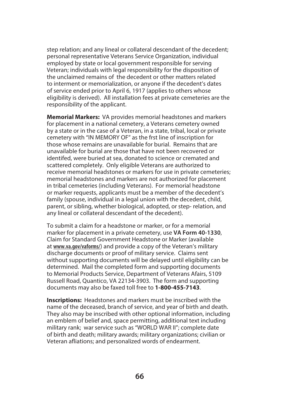step relation; and any lineal or collateral descendant of the decedent; personal representative Veterans Service Organization, individual employed by state or local government responsible for serving Veteran; individuals with legal responsibility for the disposition of the unclaimed remains of the decedent or other matters related to interment or memorialization, or anyone if the decedent's dates of service ended prior to April 6, 1917 (applies to others whose eligibility is derived). All installation fees at private cemeteries are the responsibility of the applicant.

**Memorial Markers:** VA provides memorial headstones and markers for placement in a national cemetery, a Veterans cemetery owned by a state or in the case of a Veteran, in a state, tribal, local or private cemetery with "IN MEMORY OF" as the frst line of inscription for those whose remains are unavailable for burial. Remains that are unavailable for burial are those that have not been recovered or identifed, were buried at sea, donated to science or cremated and scattered completely. Only eligible Veterans are authorized to receive memorial headstones or markers for use in private cemeteries; memorial headstones and markers are not authorized for placement in tribal cemeteries (including Veterans). For memorial headstone or marker requests, applicants must be a member of the decedent's family (spouse, individual in a legal union with the decedent, child, parent, or sibling, whether biological, adopted, or step- relation, and any lineal or collateral descendant of the decedent).

To submit a claim for a headstone or marker, or for a memorial marker for placement in a private cemetery, use **VA Form 40-1330**, Claim for Standard Government Headstone or Marker (available at **[www.va.gov/vaforms/](www.va.gov/vaforms)**) and provide a copy of the Veteran's military discharge documents or proof of military service. Claims sent without supporting documents will be delayed until eligibility can be determined. Mail the completed form and supporting documents to Memorial Products Service, Department of Veterans Afairs, 5109 Russell Road, Quantico, VA 22134-3903. The form and supporting documents may also be faxed toll free to **1-800-455-7143**.

**Inscriptions:** Headstones and markers must be inscribed with the name of the deceased, branch of service, and year of birth and death. They also may be inscribed with other optional information, including an emblem of belief and, space permitting, additional text including military rank; war service such as "WORLD WAR II"; complete date of birth and death; military awards; military organizations; civilian or Veteran afliations; and personalized words of endearment.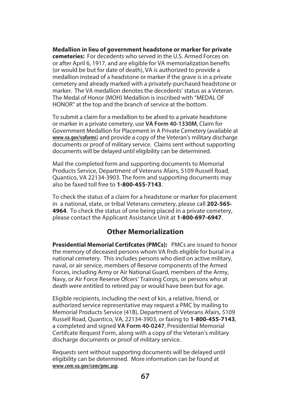**Medallion in lieu of government headstone or marker for private cemeteries:** For decedents who served in the U.S. Armed Forces on or after April 6, 1917, and are eligible for VA memorialization benefts (or would be but for date of death), VA is authorized to provide a medallion instead of a headstone or marker if the grave is in a private cemetery and already marked with a privately-purchased headstone or marker. The VA medallion denotes the decedents' status as a Veteran. The Medal of Honor (MOH) Medallion is inscribed with "MEDAL OF HONOR" at the top and the branch of service at the bottom.

To submit a claim for a medallion to be afxed to a private headstone or marker in a private cemetery, use **VA Form 40-1330M**, Claim for Government Medallion for Placement in A Private Cemetery (available at **<www.va.gov/vaforms>**) and provide a copy of the Veteran's military discharge documents or proof of military service. Claims sent without supporting documents will be delayed until eligibility can be determined.

Mail the completed form and supporting documents to Memorial Products Service, Department of Veterans Afairs, 5109 Russell Road, Quantico, VA 22134-3903. The form and supporting documents may also be faxed toll free to **1-800-455-7143**.

To check the status of a claim for a headstone or marker for placement in a national, state, or tribal Veterans cemetery, please call **202-565- 4964**. To check the status of one being placed in a private cemetery, please contact the Applicant Assistance Unit at **1-800-697-6947**.

## **Other Memorialization**

**Presidential Memorial Certifcates (PMCs):** PMCs are issued to honor the memory of deceased persons whom VA fnds eligible for burial in a national cemetery. This includes persons who died on active military, naval, or air service, members of Reserve components of the Armed Forces, including Army or Air National Guard, members of the Army, Navy, or Air Force Reserve Ofcers' Training Corps, or persons who at death were entitled to retired pay or would have been but for age.

Eligible recipients, including the next of kin, a relative, friend, or authorized service representative may request a PMC by mailing to Memorial Products Service (41B), Department of Veterans Afairs, 5109 Russell Road, Quantico, VA, 22134-3903, or faxing to **1-800-455-7143**, a completed and signed **VA Form 40-0247**, Presidential Memorial Certifcate Request Form, along with a copy of the Veteran's military discharge documents or proof of military service.

Requests sent without supporting documents will be delayed until eligibility can be determined. More information can be found at **<www.cem.va.gov/cem/pmc.asp>**.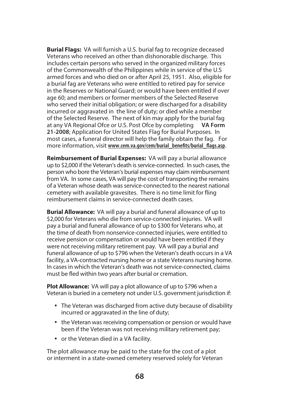**Burial Flags:** VA will furnish a U.S. burial fag to recognize deceased Veterans who received an other than dishonorable discharge. This includes certain persons who served in the organized military forces of the Commonwealth of the Philippines while in service of the U.S armed forces and who died on or after April 25, 1951. Also, eligible for a burial fag are Veterans who were entitled to retired pay for service in the Reserves or National Guard; or would have been entitled if over age 60; and members or former members of the Selected Reserve who served their initial obligation; or were discharged for a disability incurred or aggravated in the line of duty; or died while a member of the Selected Reserve. The next of kin may apply for the burial fag at any VA Regional Ofce or U.S. Post Ofce by completing **VA Form 21-2008**; Application for United States Flag for Burial Purposes. In most cases, a funeral director will help the family obtain the fag. For more information, visit **[www.cem.va.gov/cem/burial\\_benefts/burial\\_fags.asp](www.cem.va.gov/cem/burial_benefits/burial_flags.asp)**.

**Reimbursement of Burial Expenses:** VA will pay a burial allowance up to \$2,000 if the Veteran's death is service-connected. In such cases, the person who bore the Veteran's burial expenses may claim reimbursement from VA. In some cases, VA will pay the cost of transporting the remains of a Veteran whose death was service-connected to the nearest national cemetery with available gravesites. There is no time limit for fling reimbursement claims in service-connected death cases.

facility, a VA-contracted nursing home or a state Veterans nursing home. **Burial Allowance:** VA will pay a burial and funeral allowance of up to \$2,000 for Veterans who die from service-connected injuries. VA will pay a burial and funeral allowance of up to \$300 for Veterans who, at the time of death from nonservice-connected injuries, were entitled to receive pension or compensation or would have been entitled if they were not receiving military retirement pay. VA will pay a burial and funeral allowance of up to \$796 when the Veteran's death occurs in a VA In cases in which the Veteran's death was not service-connected, claims must be fled within two years after burial or cremation.

**Plot Allowance:** VA will pay a plot allowance of up to \$796 when a Veteran is buried in a cemetery not under U.S. government jurisdiction if:

- The Veteran was discharged from active duty because of disability incurred or aggravated in the line of duty;
- the Veteran was receiving compensation or pension or would have been if the Veteran was not receiving military retirement pay;
- or the Veteran died in a VA facility.

The plot allowance may be paid to the state for the cost of a plot or interment in a state-owned cemetery reserved solely for Veteran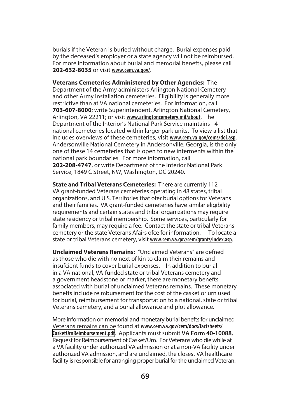by the deceased's employer or a state agency will not be reimbursed. burials if the Veteran is buried without charge. Burial expenses paid For more information about burial and memorial benefts, please call **202-632-8035** or visit **<www.cem.va.gov>/**.

 national park boundaries. For more information, call **Veterans Cemeteries Administered by Other Agencies:** The Department of the Army administers Arlington National Cemetery and other Army installation cemeteries. Eligibility is generally more restrictive than at VA national cemeteries. For information, call **703-607-8000**; write Superintendent, Arlington National Cemetery, Arlington, VA 22211; or visit **<www.arlingtoncemetery.mil/about>**. The Department of the Interior's National Park Service maintains 14 national cemeteries located within larger park units. To view a list that includes overviews of these cemeteries, visit **<www.cem.va.gov/cems/doi.asp>**. Andersonville National Cemetery in Andersonville, Georgia, is the only one of these 14 cemeteries that is open to new interments within the **202-208-4747**, or write Department of the Interior National Park Service, 1849 C Street, NW, Washington, DC 20240.

**State and Tribal Veterans Cemeteries:** There are currently 112 VA grant-funded Veterans cemeteries operating in 48 states, tribal organizations, and U.S. Territories that ofer burial options for Veterans and their families. VA grant-funded cemeteries have similar eligibility requirements and certain states and tribal organizations may require state residency or tribal membership. Some services, particularly for family members, may require a fee. Contact the state or tribal Veterans cemetery or the state Veterans Afairs ofce for information. To locate a state or tribal Veterans cemetery, visit **<www.cem.va.gov/cem/grants/index.asp>**.

**Unclaimed Veterans Remains:** "Unclaimed Veterans" are defned as those who die with no next of kin to claim their remains and insufcient funds to cover burial expenses. In addition to burial in a VA national, VA-funded state or tribal Veterans cemetery and a government headstone or marker, there are monetary benefts associated with burial of unclaimed Veterans remains. These monetary benefts include reimbursement for the cost of the casket or urn used for burial, reimbursement for transportation to a national, state or tribal Veterans cemetery, and a burial allowance and plot allowance.

More information on memorial and monetary burial benefts for unclaimed Veterans remains can be found at **[www.cem.va.gov/cem/docs/factsheets/](https://www.cem.va.gov/cem/docs/factsheets/Unclaimed_Veteran_Remains_Casket_or_Urn_Reimbursement_Program.pdf) [CasketUrnReimbursement.pdf](https://www.cem.va.gov/cem/docs/factsheets/Unclaimed_Veteran_Remains_Casket_or_Urn_Reimbursement_Program.pdf)**. Applicants must submit **VA Form 40-10088**, Request for Reimbursement of Casket/Urn. For Veterans who die while at a VA facility under authorized VA admission or at a non-VA facility under authorized VA admission, and are unclaimed, the closest VA healthcare facility is responsible for arranging proper burial for the unclaimed Veteran.